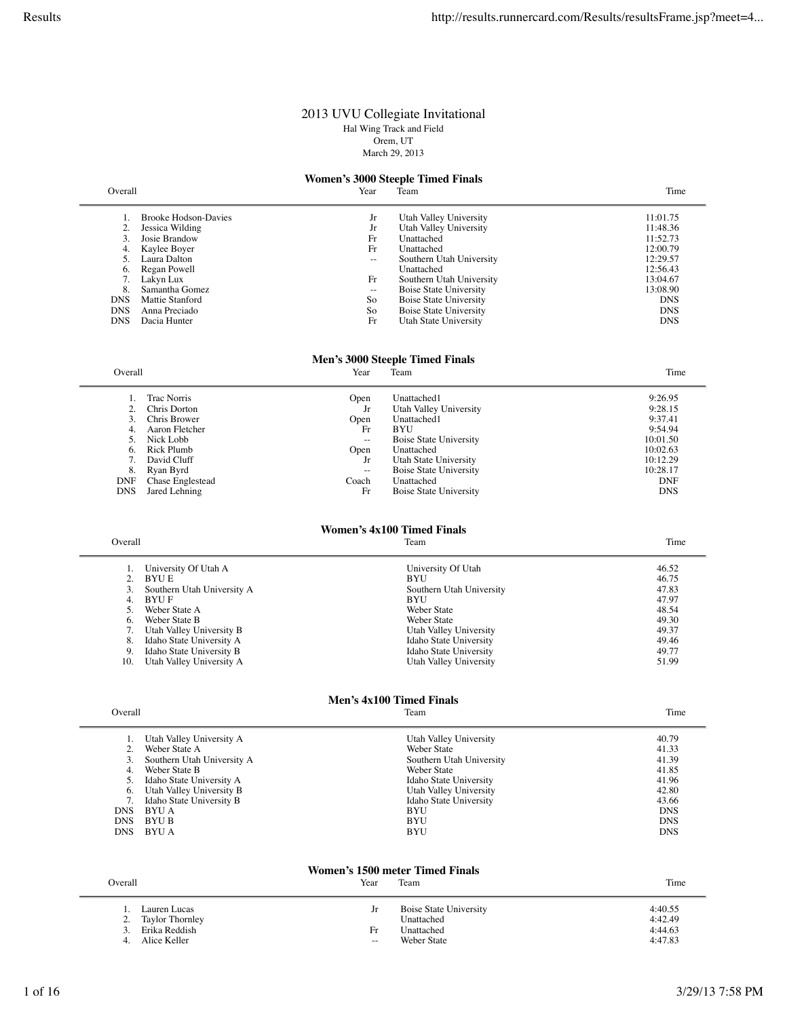### 2013 UVU Collegiate Invitational Hal Wing Track and Field Orem, UT March 29, 2013

# **Women's 3000 Steeple Timed Finals**<br>Year Team

|                 | Year                                                      | Team                     | Time                                             |
|-----------------|-----------------------------------------------------------|--------------------------|--------------------------------------------------|
|                 |                                                           |                          | 11:01.75                                         |
|                 | Jr                                                        |                          | 11:48.36                                         |
| Josie Brandow   | Fr                                                        | Unattached               | 11:52.73                                         |
| Kaylee Boyer    | Fr                                                        | Unattached               | 12:00.79                                         |
| Laura Dalton    |                                                           | Southern Utah University | 12:29.57                                         |
| Regan Powell    |                                                           | Unattached               | 12:56.43                                         |
| Lakyn Lux       | Fr                                                        | Southern Utah University | 13:04.67                                         |
| Samantha Gomez  | --                                                        | Boise State University   | 13:08.90                                         |
| Mattie Stanford | So                                                        | Boise State University   | <b>DNS</b>                                       |
| Anna Preciado   | So                                                        | Boise State University   | <b>DNS</b>                                       |
| Dacia Hunter    | Fr                                                        | Utah State University    | <b>DNS</b>                                       |
|                 | Overall<br><b>Brooke Hodson-Davies</b><br>Jessica Wilding | Jr                       | Utah Valley University<br>Utah Valley University |

### **Men's 3000 Steeple Timed Finals**

| Overall          | Year                                  | Team                          | Time                                  |
|------------------|---------------------------------------|-------------------------------|---------------------------------------|
|                  |                                       |                               | 9:26.95                               |
|                  |                                       |                               |                                       |
|                  | Jr                                    |                               | 9:28.15                               |
| Chris Brower     | Open                                  | Unattached1                   | 9:37.41                               |
| Aaron Fletcher   | Fr                                    | BYU                           | 9:54.94                               |
| Nick Lobb        | $\hspace{0.05cm}$ – $\hspace{0.05cm}$ | <b>Boise State University</b> | 10:01.50                              |
| Rick Plumb       | Open                                  | Unattached                    | 10:02.63                              |
| David Cluff      | Jr                                    | Utah State University         | 10:12.29                              |
| Ryan Byrd        | $\hspace{0.05cm}$                     | <b>Boise State University</b> | 10:28.17                              |
| Chase Englestead | Coach                                 | Unattached                    | <b>DNF</b>                            |
| Jared Lehning    | Fr                                    | Boise State University        | <b>DNS</b>                            |
|                  | <b>Trac Norris</b><br>Chris Dorton    | Open                          | Unattached1<br>Utah Valley University |

# **Women's 4x100 Timed Finals**<br>Team

Overall **The Contract Contract Contract Contract Contract Contract Contract Contract Contract Contract Contract Contract Contract Contract Contract Contract Contract Contract Contract Contract Contract Contract Contract Co** 

|     | University Of Utah A       | University Of Utah       | 46.52 |
|-----|----------------------------|--------------------------|-------|
|     | BYU E                      | <b>BYU</b>               | 46.75 |
|     | Southern Utah University A | Southern Utah University | 47.83 |
| 4.  | BYU F                      | <b>BYU</b>               | 47.97 |
|     | Weber State A              | Weber State              | 48.54 |
| 6.  | Weber State B              | Weber State              | 49.30 |
|     | Utah Valley University B   | Utah Valley University   | 49.37 |
| 8.  | Idaho State University A   | Idaho State University   | 49.46 |
| 9.  | Idaho State University B   | Idaho State University   | 49.77 |
| 10. | Utah Valley University A   | Utah Valley University   | 51.99 |

# **Men's 4x100 Timed Finals**<br>Team

| Overall    |                            | Team                     | Time       |
|------------|----------------------------|--------------------------|------------|
|            | Utah Valley University A   | Utah Valley University   | 40.79      |
| 2.         | Weber State A              | Weber State              | 41.33      |
|            | Southern Utah University A | Southern Utah University | 41.39      |
| 4.         | Weber State B              | Weber State              | 41.85      |
|            | Idaho State University A   | Idaho State University   | 41.96      |
| 6.         | Utah Valley University B   | Utah Valley University   | 42.80      |
|            | Idaho State University B   | Idaho State University   | 43.66      |
| <b>DNS</b> | BYU A                      | BYU                      | <b>DNS</b> |
| <b>DNS</b> | BYU B                      | BYU                      | <b>DNS</b> |
| <b>DNS</b> | BYU A                      | BYU                      | <b>DNS</b> |

### **Women's 1500 meter Timed Finals**

| Overall<br><b>CONTINUES</b><br>leam<br>Year | <b>CONTRACTOR</b><br>ime |
|---------------------------------------------|--------------------------|
|---------------------------------------------|--------------------------|

|    | Lauren Lucas    | Jr  | Boise State University | 4:40.55 |
|----|-----------------|-----|------------------------|---------|
|    | Taylor Thornley |     | Unattached             | 4:42.49 |
| 3  | Erika Reddish   | Fr  | Unattached             | 4:44.63 |
| 4. | Alice Keller    | $-$ | Weber State            | 4:47.83 |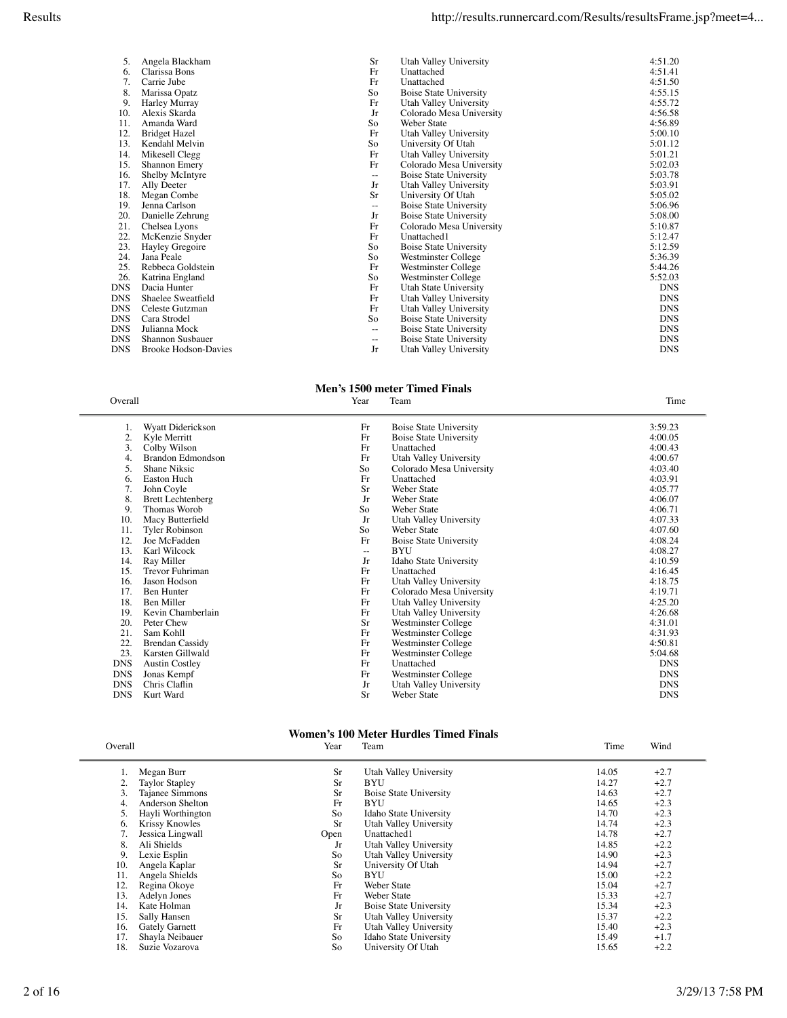| 5.         | Angela Blackham             | <b>Sr</b>                | Utah Valley University        | 4:51.20    |
|------------|-----------------------------|--------------------------|-------------------------------|------------|
| 6.         | Clarissa Bons               | Fr                       | Unattached                    | 4:51.41    |
| 7.         | Carrie Jube                 | Fr                       | Unattached                    | 4:51.50    |
| 8.         | Marissa Opatz               | So                       | Boise State University        | 4:55.15    |
| 9.         | Harley Murray               | Fr                       | Utah Valley University        | 4:55.72    |
| 10.        | Alexis Skarda               | Jr                       | Colorado Mesa University      | 4:56.58    |
| 11.        | Amanda Ward                 | So                       | Weber State                   | 4:56.89    |
| 12.        | <b>Bridget Hazel</b>        | Fr                       | Utah Valley University        | 5:00.10    |
| 13.        | Kendahl Melvin              | So                       | University Of Utah            | 5:01.12    |
| 14.        | Mikesell Clegg              | Fr                       | Utah Valley University        | 5:01.21    |
| 15.        | Shannon Emery               | Fr                       | Colorado Mesa University      | 5:02.03    |
| 16.        | Shelby McIntyre             | $\overline{\phantom{m}}$ | Boise State University        | 5:03.78    |
| 17.        | Ally Deeter                 | Jr                       | Utah Valley University        | 5:03.91    |
| 18.        | Megan Combe                 | Sr                       | University Of Utah            | 5:05.02    |
| 19.        | Jenna Carlson               | $\overline{\phantom{m}}$ | Boise State University        | 5:06.96    |
| 20.        | Danielle Zehrung            | Jr                       | <b>Boise State University</b> | 5:08.00    |
| 21.        | Chelsea Lyons               | Fr                       | Colorado Mesa University      | 5:10.87    |
| 22.        | McKenzie Snyder             | Fr                       | Unattached1                   | 5:12.47    |
| 23.        | Hayley Gregoire             | So                       | Boise State University        | 5:12.59    |
| 24.        | Jana Peale                  | So                       | Westminster College           | 5:36.39    |
| 25.        | Rebbeca Goldstein           | Fr                       | Westminster College           | 5:44.26    |
| 26.        | Katrina England             | So                       | Westminster College           | 5:52.03    |
| <b>DNS</b> | Dacia Hunter                | Fr                       | Utah State University         | <b>DNS</b> |
| <b>DNS</b> | Shaelee Sweatfield          | Fr                       | Utah Valley University        | <b>DNS</b> |
| <b>DNS</b> | Celeste Gutzman             | Fr                       | Utah Valley University        | <b>DNS</b> |
| <b>DNS</b> | Cara Strodel                | So                       | Boise State University        | <b>DNS</b> |
| <b>DNS</b> | Julianna Mock               | $-\,-$                   | Boise State University        | <b>DNS</b> |
| <b>DNS</b> | Shannon Susbauer            | $\qquad \qquad -$        | Boise State University        | <b>DNS</b> |
| <b>DNS</b> | <b>Brooke Hodson-Davies</b> | Jr                       | Utah Valley University        | <b>DNS</b> |

# **Men's 1500 meter Timed Finals**<br>Year Team

Overall Year Team Time

| ī.         | Wyatt Diderickson        | Fr                | <b>Boise State University</b> | 3:59.23    |
|------------|--------------------------|-------------------|-------------------------------|------------|
| 2.         | Kyle Merritt             | Fr                | <b>Boise State University</b> | 4:00.05    |
| 3.         | Colby Wilson             | Fr                | Unattached                    | 4:00.43    |
| 4.         | <b>Brandon Edmondson</b> | Fr                | Utah Valley University        | 4:00.67    |
| 5.         | Shane Niksic             | So                | Colorado Mesa University      | 4:03.40    |
| 6.         | <b>Easton Huch</b>       | Fr                | Unattached                    | 4:03.91    |
| 7.         | John Coyle               | Sr                | Weber State                   | 4:05.77    |
| 8.         | <b>Brett Lechtenberg</b> | Jr                | Weber State                   | 4:06.07    |
| 9.         | Thomas Worob             | So                | Weber State                   | 4:06.71    |
| 10.        | Macy Butterfield         | Jr                | Utah Valley University        | 4:07.33    |
| 11.        | Tyler Robinson           | So                | Weber State                   | 4:07.60    |
| 12.        | Joe McFadden             | Fr                | <b>Boise State University</b> | 4:08.24    |
| 13.        | Karl Wilcock             | $\qquad \qquad -$ | BYU                           | 4:08.27    |
| 14.        | Ray Miller               | Jr                | Idaho State University        | 4:10.59    |
| 15.        | Trevor Fuhriman          | Fr                | Unattached                    | 4:16.45    |
| 16.        | Jason Hodson             | Fr                | Utah Valley University        | 4:18.75    |
| 17.        | <b>Ben Hunter</b>        | Fr                | Colorado Mesa University      | 4:19.71    |
| 18.        | Ben Miller               | Fr                | Utah Valley University        | 4:25.20    |
| 19.        | Kevin Chamberlain        | Fr                | Utah Valley University        | 4:26.68    |
| 20.        | Peter Chew               | Sr                | Westminster College           | 4:31.01    |
| 21.        | Sam Kohll                | Fr                | Westminster College           | 4:31.93    |
| 22.        | <b>Brendan Cassidy</b>   | Fr                | Westminster College           | 4:50.81    |
| 23.        | Karsten Gillwald         | Fr                | Westminster College           | 5:04.68    |
| <b>DNS</b> | <b>Austin Costley</b>    | Fr                | Unattached                    | <b>DNS</b> |
| <b>DNS</b> | Jonas Kempf              | Fr                | Westminster College           | <b>DNS</b> |
| <b>DNS</b> | Chris Claflin            | Jr                | Utah Valley University        | <b>DNS</b> |
| <b>DNS</b> | Kurt Ward                | Sr                | Weber State                   | <b>DNS</b> |
|            |                          |                   |                               |            |

### **Women's 100 Meter Hurdles Timed Finals** Overall Year Team Time Wind

|     | Megan Burr            | Sr   | Utah Valley University        | 14.05 | $+2.7$ |
|-----|-----------------------|------|-------------------------------|-------|--------|
|     | <b>Taylor Stapley</b> | Sr   | <b>BYU</b>                    | 14.27 | $+2.7$ |
|     | Tajanee Simmons       | Sr   | <b>Boise State University</b> | 14.63 | $+2.7$ |
|     | Anderson Shelton      | Fr   | BYU                           | 14.65 | $+2.3$ |
|     | Hayli Worthington     | So   | Idaho State University        | 14.70 | $+2.3$ |
| 6.  | <b>Krissy Knowles</b> | Sr   | Utah Valley University        | 14.74 | $+2.3$ |
|     | Jessica Lingwall      | Open | Unattached1                   | 14.78 | $+2.7$ |
| 8.  | Ali Shields           | Jr   | Utah Valley University        | 14.85 | $+2.2$ |
| 9.  | Lexie Esplin          | So   | Utah Valley University        | 14.90 | $+2.3$ |
| 10. | Angela Kaplar         | Sr   | University Of Utah            | 14.94 | $+2.7$ |
| 11. | Angela Shields        | So   | BYU                           | 15.00 | $+2.2$ |
| 12. | Regina Okoye          | Fr   | Weber State                   | 15.04 | $+2.7$ |
| 13. | Adelyn Jones          | Fr   | Weber State                   | 15.33 | $+2.7$ |
| 14. | Kate Holman           | Jr   | <b>Boise State University</b> | 15.34 | $+2.3$ |
| 15. | Sally Hansen          | Sr   | Utah Valley University        | 15.37 | $+2.2$ |
| 16. | Gately Garnett        | Fr   | Utah Valley University        | 15.40 | $+2.3$ |
| 17. | Shayla Neibauer       | So   | Idaho State University        | 15.49 | $+1.7$ |
| 18. | Suzie Vozarova        | So   | University Of Utah            | 15.65 | $+2.2$ |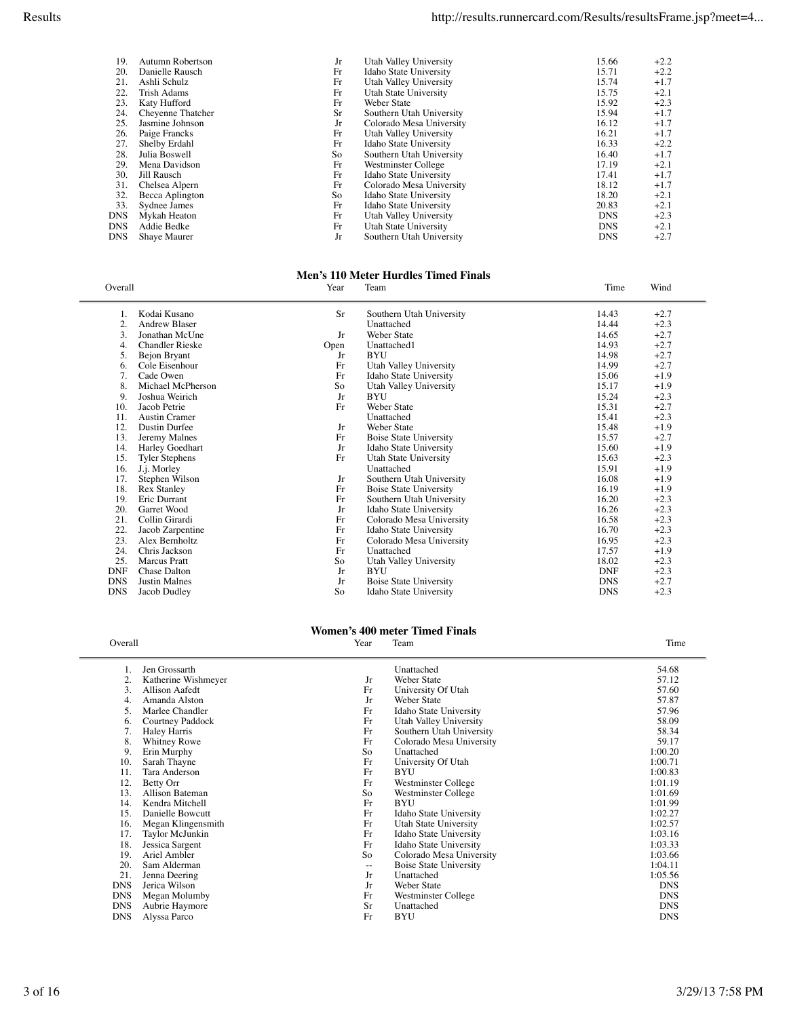| 19.  | Autumn Robertson  | Jr | Utah Valley University   | 15.66      | $+2.2$ |
|------|-------------------|----|--------------------------|------------|--------|
| 20.  | Danielle Rausch   | Fr | Idaho State University   | 15.71      | $+2.2$ |
| 21.  | Ashli Schulz      | Fr | Utah Valley University   | 15.74      | $+1.7$ |
| 22.  | Trish Adams       | Fr | Utah State University    | 15.75      | $+2.1$ |
| 23.  | Katy Hufford      | Fr | Weber State              | 15.92      | $+2.3$ |
| 24.  | Cheyenne Thatcher | Sr | Southern Utah University | 15.94      | $+1.7$ |
| 25.  | Jasmine Johnson   | Jr | Colorado Mesa University | 16.12      | $+1.7$ |
| 26.  | Paige Francks     | Fr | Utah Valley University   | 16.21      | $+1.7$ |
| 27.  | Shelby Erdahl     | Fr | Idaho State University   | 16.33      | $+2.2$ |
| 28.  | Julia Boswell     | So | Southern Utah University | 16.40      | $+1.7$ |
| 29.  | Mena Davidson     | Fr | Westminster College      | 17.19      | $+2.1$ |
| 30.  | Jill Rausch       | Fr | Idaho State University   | 17.41      | $+1.7$ |
| 31.  | Chelsea Alpern    | Fr | Colorado Mesa University | 18.12      | $+1.7$ |
| 32.  | Becca Aplington   | So | Idaho State University   | 18.20      | $+2.1$ |
| 33.  | Sydnee James      | Fr | Idaho State University   | 20.83      | $+2.1$ |
| DNS  | Mykah Heaton      | Fr | Utah Valley University   | <b>DNS</b> | $+2.3$ |
| DNS. | Addie Bedke       | Fr | Utah State University    | <b>DNS</b> | $+2.1$ |
| DNS  | Shaye Maurer      | Jr | Southern Utah University | <b>DNS</b> | $+2.7$ |
|      |                   |    |                          |            |        |

### **Men's 110 Meter Hurdles Timed Finals**

|                      | Year                                                                                                                                                                                                                                                                                                                                                | Team                                                 | Time                                                                                                                                                                                                                                                                                                                                                                                                                                                                                                             | Wind                                                                                                     |
|----------------------|-----------------------------------------------------------------------------------------------------------------------------------------------------------------------------------------------------------------------------------------------------------------------------------------------------------------------------------------------------|------------------------------------------------------|------------------------------------------------------------------------------------------------------------------------------------------------------------------------------------------------------------------------------------------------------------------------------------------------------------------------------------------------------------------------------------------------------------------------------------------------------------------------------------------------------------------|----------------------------------------------------------------------------------------------------------|
|                      |                                                                                                                                                                                                                                                                                                                                                     |                                                      |                                                                                                                                                                                                                                                                                                                                                                                                                                                                                                                  | $+2.7$                                                                                                   |
|                      |                                                                                                                                                                                                                                                                                                                                                     |                                                      |                                                                                                                                                                                                                                                                                                                                                                                                                                                                                                                  | $+2.3$                                                                                                   |
|                      |                                                                                                                                                                                                                                                                                                                                                     |                                                      |                                                                                                                                                                                                                                                                                                                                                                                                                                                                                                                  | $+2.7$                                                                                                   |
|                      |                                                                                                                                                                                                                                                                                                                                                     |                                                      |                                                                                                                                                                                                                                                                                                                                                                                                                                                                                                                  | $+2.7$                                                                                                   |
|                      |                                                                                                                                                                                                                                                                                                                                                     |                                                      |                                                                                                                                                                                                                                                                                                                                                                                                                                                                                                                  | $+2.7$                                                                                                   |
|                      |                                                                                                                                                                                                                                                                                                                                                     |                                                      |                                                                                                                                                                                                                                                                                                                                                                                                                                                                                                                  | $+2.7$                                                                                                   |
|                      |                                                                                                                                                                                                                                                                                                                                                     |                                                      |                                                                                                                                                                                                                                                                                                                                                                                                                                                                                                                  | $+1.9$                                                                                                   |
|                      |                                                                                                                                                                                                                                                                                                                                                     |                                                      |                                                                                                                                                                                                                                                                                                                                                                                                                                                                                                                  | $+1.9$                                                                                                   |
|                      |                                                                                                                                                                                                                                                                                                                                                     |                                                      |                                                                                                                                                                                                                                                                                                                                                                                                                                                                                                                  | $+2.3$                                                                                                   |
|                      |                                                                                                                                                                                                                                                                                                                                                     |                                                      |                                                                                                                                                                                                                                                                                                                                                                                                                                                                                                                  | $+2.7$                                                                                                   |
|                      |                                                                                                                                                                                                                                                                                                                                                     |                                                      |                                                                                                                                                                                                                                                                                                                                                                                                                                                                                                                  | $+2.3$                                                                                                   |
| Dustin Durfee        | Jr                                                                                                                                                                                                                                                                                                                                                  | <b>Weber State</b>                                   | 15.48                                                                                                                                                                                                                                                                                                                                                                                                                                                                                                            | $+1.9$                                                                                                   |
|                      | Fr                                                                                                                                                                                                                                                                                                                                                  |                                                      |                                                                                                                                                                                                                                                                                                                                                                                                                                                                                                                  | $+2.7$                                                                                                   |
|                      | Jr                                                                                                                                                                                                                                                                                                                                                  |                                                      | 15.60                                                                                                                                                                                                                                                                                                                                                                                                                                                                                                            | $+1.9$                                                                                                   |
|                      | Fr                                                                                                                                                                                                                                                                                                                                                  |                                                      | 15.63                                                                                                                                                                                                                                                                                                                                                                                                                                                                                                            | $+2.3$                                                                                                   |
|                      |                                                                                                                                                                                                                                                                                                                                                     | Unattached                                           | 15.91                                                                                                                                                                                                                                                                                                                                                                                                                                                                                                            | $+1.9$                                                                                                   |
|                      | Jr                                                                                                                                                                                                                                                                                                                                                  |                                                      | 16.08                                                                                                                                                                                                                                                                                                                                                                                                                                                                                                            | $+1.9$                                                                                                   |
|                      | Fr                                                                                                                                                                                                                                                                                                                                                  |                                                      | 16.19                                                                                                                                                                                                                                                                                                                                                                                                                                                                                                            | $+1.9$                                                                                                   |
| <b>Eric Durrant</b>  | Fr                                                                                                                                                                                                                                                                                                                                                  |                                                      | 16.20                                                                                                                                                                                                                                                                                                                                                                                                                                                                                                            | $+2.3$                                                                                                   |
| Garret Wood          | Jr                                                                                                                                                                                                                                                                                                                                                  |                                                      | 16.26                                                                                                                                                                                                                                                                                                                                                                                                                                                                                                            | $+2.3$                                                                                                   |
| Collin Girardi       | Fr                                                                                                                                                                                                                                                                                                                                                  | Colorado Mesa University                             | 16.58                                                                                                                                                                                                                                                                                                                                                                                                                                                                                                            | $+2.3$                                                                                                   |
|                      | Fr                                                                                                                                                                                                                                                                                                                                                  |                                                      | 16.70                                                                                                                                                                                                                                                                                                                                                                                                                                                                                                            | $+2.3$                                                                                                   |
| Alex Bernholtz       | Fr                                                                                                                                                                                                                                                                                                                                                  |                                                      | 16.95                                                                                                                                                                                                                                                                                                                                                                                                                                                                                                            | $+2.3$                                                                                                   |
| Chris Jackson        | Fr                                                                                                                                                                                                                                                                                                                                                  | Unattached                                           | 17.57                                                                                                                                                                                                                                                                                                                                                                                                                                                                                                            | $+1.9$                                                                                                   |
| Marcus Pratt         | So                                                                                                                                                                                                                                                                                                                                                  |                                                      | 18.02                                                                                                                                                                                                                                                                                                                                                                                                                                                                                                            | $+2.3$                                                                                                   |
| Chase Dalton         | Jr                                                                                                                                                                                                                                                                                                                                                  | BYU                                                  | <b>DNF</b>                                                                                                                                                                                                                                                                                                                                                                                                                                                                                                       | $+2.3$                                                                                                   |
| <b>Justin Malnes</b> | Jr                                                                                                                                                                                                                                                                                                                                                  | <b>Boise State University</b>                        | <b>DNS</b>                                                                                                                                                                                                                                                                                                                                                                                                                                                                                                       | $+2.7$                                                                                                   |
| Jacob Dudley         | So                                                                                                                                                                                                                                                                                                                                                  | Idaho State University                               | <b>DNS</b>                                                                                                                                                                                                                                                                                                                                                                                                                                                                                                       | $+2.3$                                                                                                   |
|                      | Overall<br>Kodai Kusano<br>Andrew Blaser<br>Jonathan McUne<br>Chandler Rieske<br>Bejon Bryant<br>Cole Eisenhour<br>Cade Owen<br>Michael McPherson<br>Joshua Weirich<br>Jacob Petrie<br><b>Austin Cramer</b><br>Jeremy Malnes<br>Harley Goedhart<br><b>Tyler Stephens</b><br>J.j. Morley<br>Stephen Wilson<br><b>Rex Stanley</b><br>Jacob Zarpentine | Sr<br>Jr<br>Open<br>Jr<br>Fr<br>Fr<br>So<br>Jr<br>Fr | Southern Utah University<br>Unattached<br><b>Weber State</b><br>Unattached1<br><b>BYU</b><br>Utah Valley University<br>Idaho State University<br>Utah Valley University<br><b>BYU</b><br><b>Weber State</b><br>Unattached<br><b>Boise State University</b><br>Idaho State University<br>Utah State University<br>Southern Utah University<br><b>Boise State University</b><br>Southern Utah University<br>Idaho State University<br>Idaho State University<br>Colorado Mesa University<br>Utah Valley University | 14.43<br>14.44<br>14.65<br>14.93<br>14.98<br>14.99<br>15.06<br>15.17<br>15.24<br>15.31<br>15.41<br>15.57 |

### **Women's 400 meter Timed Finals**

| Overall    |                     | Year              | Team                          | Time       |
|------------|---------------------|-------------------|-------------------------------|------------|
| 1.         | Jen Grossarth       |                   | Unattached                    | 54.68      |
| 2.         | Katherine Wishmeyer | Jr                | Weber State                   | 57.12      |
| 3.         | Allison Aafedt      | Fr                | University Of Utah            | 57.60      |
| 4.         | Amanda Alston       | Jr                | Weber State                   | 57.87      |
| 5.         | Marlee Chandler     | Fr                | Idaho State University        | 57.96      |
| 6.         | Courtney Paddock    | Fr                | Utah Valley University        | 58.09      |
| 7.         | Haley Harris        | Fr                | Southern Utah University      | 58.34      |
| 8.         | <b>Whitney Rowe</b> | Fr                | Colorado Mesa University      | 59.17      |
| 9          | Erin Murphy         | So                | Unattached                    | 1:00.20    |
| 10.        | Sarah Thayne        | Fr                | University Of Utah            | 1:00.71    |
| 11.        | Tara Anderson       | Fr                | BYU                           | 1:00.83    |
| 12.        | Betty Orr           | Fr                | Westminster College           | 1:01.19    |
| 13.        | Allison Bateman     | So                | Westminster College           | 1:01.69    |
| 14.        | Kendra Mitchell     | Fr                | <b>BYU</b>                    | 1:01.99    |
| 15.        | Danielle Bowcutt    | Fr                | Idaho State University        | 1:02.27    |
| 16.        | Megan Klingensmith  | Fr                | Utah State University         | 1:02.57    |
| 17.        | Taylor McJunkin     | Fr                | Idaho State University        | 1:03.16    |
| 18.        | Jessica Sargent     | Fr                | Idaho State University        | 1:03.33    |
| 19.        | Ariel Ambler        | So                | Colorado Mesa University      | 1:03.66    |
| 20.        | Sam Alderman        | $\qquad \qquad -$ | <b>Boise State University</b> | 1:04.11    |
| 21.        | Jenna Deering       | Jr                | Unattached                    | 1:05.56    |
| <b>DNS</b> | Jerica Wilson       | Jr                | Weber State                   | <b>DNS</b> |
| <b>DNS</b> | Megan Molumby       | Fr                | Westminster College           | <b>DNS</b> |
| <b>DNS</b> | Aubrie Haymore      | Sr                | Unattached                    | <b>DNS</b> |
| <b>DNS</b> | Alyssa Parco        | Fr                | BYU                           | <b>DNS</b> |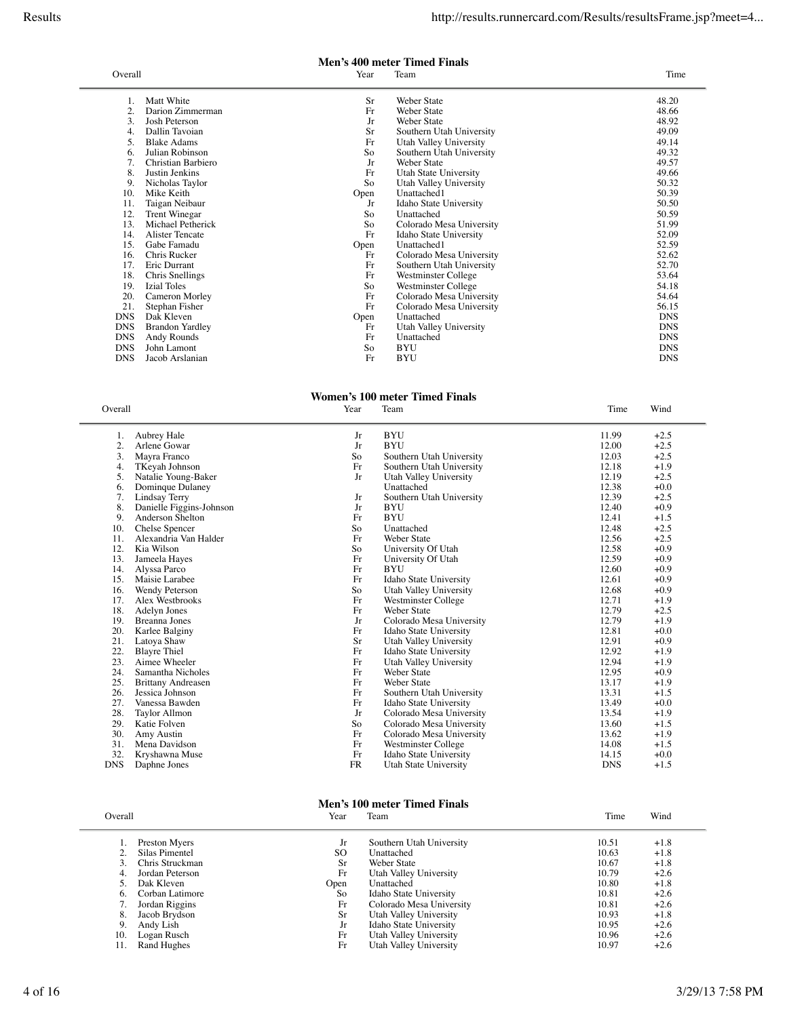### **Men's 400 meter Timed Finals**

| Overall    |                        | Year | Team                     | Time           |
|------------|------------------------|------|--------------------------|----------------|
|            | Matt White             | Sr   | Weber State              | 48.20          |
| 2.         | Darion Zimmerman       | Fr   | Weber State              | 48.66          |
|            |                        |      |                          |                |
| 3.         | Josh Peterson          | Jr   | Weber State              | 48.92<br>49.09 |
| 4.         | Dallin Tavoian         | Sr   | Southern Utah University |                |
| 5.         | <b>Blake Adams</b>     | Fr   | Utah Valley University   | 49.14          |
| 6.         | Julian Robinson        | So   | Southern Utah University | 49.32          |
|            | Christian Barbiero     | Jr   | Weber State              | 49.57          |
| 8.         | Justin Jenkins         | Fr   | Utah State University    | 49.66          |
| 9.         | Nicholas Taylor        | So   | Utah Valley University   | 50.32          |
| 10.        | Mike Keith             | Open | Unattached1              | 50.39          |
| 11.        | Taigan Neibaur         | Jr   | Idaho State University   | 50.50          |
| 12.        | Trent Winegar          | So   | Unattached               | 50.59          |
| 13.        | Michael Petherick      | So   | Colorado Mesa University | 51.99          |
| 14.        | <b>Alister Tencate</b> | Fr   | Idaho State University   | 52.09          |
| 15.        | Gabe Famadu            | Open | Unattached1              | 52.59          |
| 16.        | Chris Rucker           | Fr   | Colorado Mesa University | 52.62          |
| 17.        | Eric Durrant           | Fr   | Southern Utah University | 52.70          |
| 18.        | Chris Snellings        | Fr   | Westminster College      | 53.64          |
| 19.        | <b>Izial Toles</b>     | So   | Westminster College      | 54.18          |
| 20.        | Cameron Morley         | Fr   | Colorado Mesa University | 54.64          |
| 21.        | Stephan Fisher         | Fr   | Colorado Mesa University | 56.15          |
| <b>DNS</b> | Dak Kleven             | Open | Unattached               | <b>DNS</b>     |
| <b>DNS</b> | <b>Brandon Yardley</b> | Fr   | Utah Valley University   | <b>DNS</b>     |
| <b>DNS</b> | Andy Rounds            | Fr   | Unattached               | <b>DNS</b>     |
| <b>DNS</b> | John Lamont            | So   | <b>BYU</b>               | <b>DNS</b>     |
| <b>DNS</b> | Jacob Arslanian        | Fr   | <b>BYU</b>               | <b>DNS</b>     |
|            |                        |      |                          |                |

# **Women's 100 meter Timed Finals**<br>Year Team

| Overall    |                           | Year      | Team                     | Time       | Wind   |
|------------|---------------------------|-----------|--------------------------|------------|--------|
| 1.         | Aubrey Hale               | Jr        | <b>BYU</b>               | 11.99      | $+2.5$ |
| 2.         | Arlene Gowar              | Jr        | <b>BYU</b>               | 12.00      | $+2.5$ |
| 3.         | Mayra Franco              | So        | Southern Utah University | 12.03      | $+2.5$ |
| 4.         | TKeyah Johnson            | Fr        | Southern Utah University | 12.18      | $+1.9$ |
| 5.         | Natalie Young-Baker       | Jr        | Utah Valley University   | 12.19      | $+2.5$ |
| 6.         | Dominque Dulaney          |           | Unattached               | 12.38      | $+0.0$ |
| 7.         | Lindsay Terry             | Jr        | Southern Utah University | 12.39      | $+2.5$ |
| 8.         | Danielle Figgins-Johnson  | Jr        | <b>BYU</b>               | 12.40      | $+0.9$ |
| 9.         | Anderson Shelton          | Fr        | <b>BYU</b>               | 12.41      | $+1.5$ |
| 10.        | Chelse Spencer            | So        | Unattached               | 12.48      | $+2.5$ |
| 11.        | Alexandria Van Halder     | Fr        | <b>Weber State</b>       | 12.56      | $+2.5$ |
| 12.        | Kia Wilson                | So        | University Of Utah       | 12.58      | $+0.9$ |
| 13.        | Jameela Hayes             | Fr        | University Of Utah       | 12.59      | $+0.9$ |
| 14.        | Alyssa Parco              | Fr        | <b>BYU</b>               | 12.60      | $+0.9$ |
| 15.        | Maisie Larabee            | Fr        | Idaho State University   | 12.61      | $+0.9$ |
| 16.        | Wendy Peterson            | So        | Utah Valley University   | 12.68      | $+0.9$ |
| 17.        | Alex Westbrooks           | Fr        | Westminster College      | 12.71      | $+1.9$ |
| 18.        | Adelyn Jones              | Fr        | <b>Weber State</b>       | 12.79      | $+2.5$ |
| 19.        | <b>Breanna Jones</b>      | Jr        | Colorado Mesa University | 12.79      | $+1.9$ |
| 20.        | Karlee Balginy            | Fr        | Idaho State University   | 12.81      | $+0.0$ |
| 21.        | Latoya Shaw               | Sr        | Utah Valley University   | 12.91      | $+0.9$ |
| 22.        | <b>Blayre Thiel</b>       | Fr        | Idaho State University   | 12.92      | $+1.9$ |
| 23.        | Aimee Wheeler             | Fr        | Utah Valley University   | 12.94      | $+1.9$ |
| 24.        | Samantha Nicholes         | Fr        | <b>Weber State</b>       | 12.95      | $+0.9$ |
| 25.        | <b>Brittany Andreasen</b> | Fr        | <b>Weber State</b>       | 13.17      | $+1.9$ |
| 26.        | Jessica Johnson           | Fr        | Southern Utah University | 13.31      | $+1.5$ |
| 27.        | Vanessa Bawden            | Fr        | Idaho State University   | 13.49      | $+0.0$ |
| 28.        | Taylor Allmon             | Jr        | Colorado Mesa University | 13.54      | $+1.9$ |
| 29.        | Katie Folven              | So        | Colorado Mesa University | 13.60      | $+1.5$ |
| 30.        | Amy Austin                | Fr        | Colorado Mesa University | 13.62      | $+1.9$ |
| 31.        | Mena Davidson             | Fr        | Westminster College      | 14.08      | $+1.5$ |
| 32.        | Kryshawna Muse            | Fr        | Idaho State University   | 14.15      | $+0.0$ |
| <b>DNS</b> | Daphne Jones              | <b>FR</b> | Utah State University    | <b>DNS</b> | $+1.5$ |

## **Men's 100 meter Timed Finals**<br>Year Team

| Overall         | Year      | Team                     | Time  | Wind   |  |
|-----------------|-----------|--------------------------|-------|--------|--|
|                 |           |                          |       |        |  |
| Preston Myers   | Jr        | Southern Utah University | 10.51 | $+1.8$ |  |
| Silas Pimentel  | SO        | Unattached               | 10.63 | $+1.8$ |  |
| Chris Struckman | <b>Sr</b> | Weber State              | 10.67 | $+1.8$ |  |
| Jordan Peterson | Fr        | Utah Valley University   | 10.79 | $+2.6$ |  |
| Dak Kleven      | Open      | Unattached               | 10.80 | $+1.8$ |  |
| Corban Latimore | So        | Idaho State University   | 10.81 | $+2.6$ |  |
| Jordan Riggins  | Fr        | Colorado Mesa University | 10.81 | $+2.6$ |  |
| Jacob Brydson   | <b>Sr</b> | Utah Valley University   | 10.93 | $+1.8$ |  |
| Andy Lish       | Jr        | Idaho State University   | 10.95 | $+2.6$ |  |
| Logan Rusch     | Fr        | Utah Valley University   | 10.96 | $+2.6$ |  |
| Rand Hughes     | Fr        | Utah Valley University   | 10.97 | $+2.6$ |  |
|                 |           |                          |       |        |  |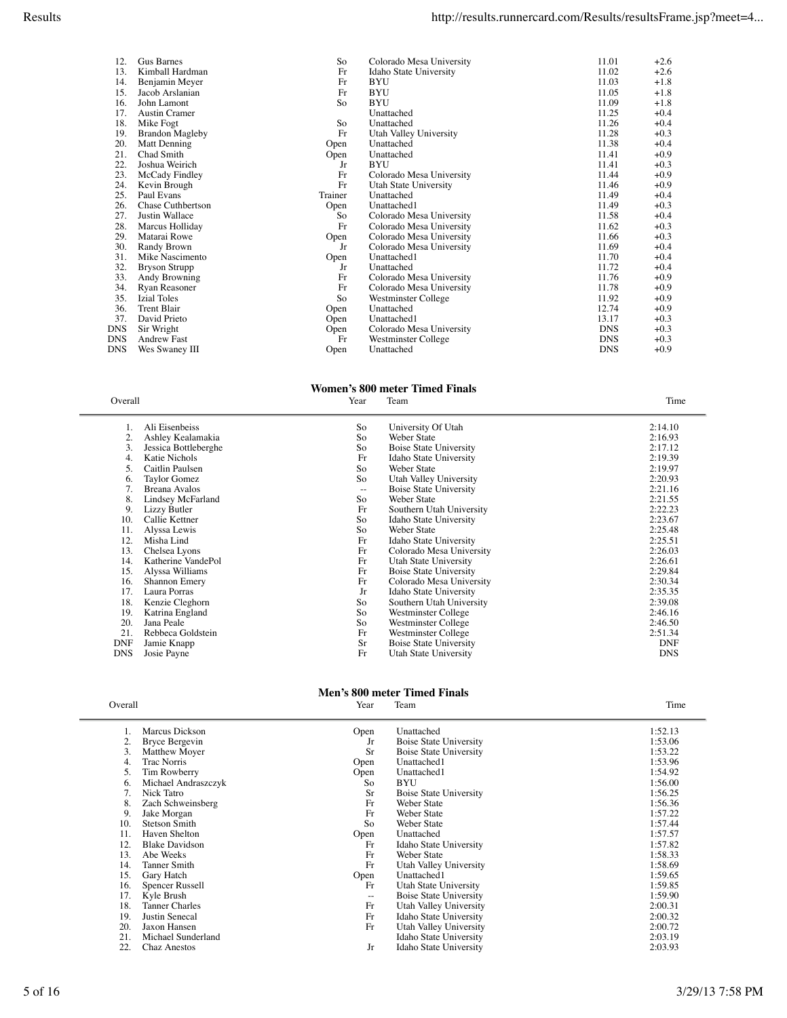| 12.        | Gus Barnes               | So      | Colorado Mesa University | 11.01      | $+2.6$ |
|------------|--------------------------|---------|--------------------------|------------|--------|
| 13.        | Kimball Hardman          | Fr      | Idaho State University   | 11.02      | $+2.6$ |
| 14.        | Benjamin Meyer           | Fr      | <b>BYU</b>               | 11.03      | $+1.8$ |
| 15.        | Jacob Arslanian          | Fr      | <b>BYU</b>               | 11.05      | $+1.8$ |
| 16.        | John Lamont              | So      | <b>BYU</b>               | 11.09      | $+1.8$ |
| 17.        | <b>Austin Cramer</b>     |         | Unattached               | 11.25      | $+0.4$ |
| 18.        | Mike Fogt                | So      | Unattached               | 11.26      | $+0.4$ |
| 19.        | <b>Brandon Magleby</b>   | Fr      | Utah Valley University   | 11.28      | $+0.3$ |
| 20.        | Matt Denning             | Open    | Unattached               | 11.38      | $+0.4$ |
| 21.        | Chad Smith               | Open    | Unattached               | 11.41      | $+0.9$ |
| 22.        | Joshua Weirich           | Jr      | <b>BYU</b>               | 11.41      | $+0.3$ |
| 23.        | McCady Findley           | Fr      | Colorado Mesa University | 11.44      | $+0.9$ |
| 24.        | Kevin Brough             | Fr      | Utah State University    | 11.46      | $+0.9$ |
| 25.        | Paul Evans               | Trainer | Unattached               | 11.49      | $+0.4$ |
| 26.        | <b>Chase Cuthbertson</b> | Open    | Unattached1              | 11.49      | $+0.3$ |
| 27.        | Justin Wallace           | So      | Colorado Mesa University | 11.58      | $+0.4$ |
| 28.        | Marcus Holliday          | Fr      | Colorado Mesa University | 11.62      | $+0.3$ |
| 29.        | Matarai Rowe             | Open    | Colorado Mesa University | 11.66      | $+0.3$ |
| 30.        | Randy Brown              | Jr      | Colorado Mesa University | 11.69      | $+0.4$ |
| 31.        | Mike Nascimento          | Open    | Unattached1              | 11.70      | $+0.4$ |
| 32.        | <b>Bryson Strupp</b>     | Jr      | Unattached               | 11.72      | $+0.4$ |
| 33.        | Andy Browning            | Fr      | Colorado Mesa University | 11.76      | $+0.9$ |
| 34.        | Ryan Reasoner            | Fr      | Colorado Mesa University | 11.78      | $+0.9$ |
| 35.        | <b>Izial Toles</b>       | So      | Westminster College      | 11.92      | $+0.9$ |
| 36.        | <b>Trent Blair</b>       | Open    | Unattached               | 12.74      | $+0.9$ |
| 37.        | David Prieto             | Open    | Unattached1              | 13.17      | $+0.3$ |
| <b>DNS</b> | Sir Wright               | Open    | Colorado Mesa University | <b>DNS</b> | $+0.3$ |
| <b>DNS</b> | <b>Andrew Fast</b>       | Fr      | Westminster College      | <b>DNS</b> | $+0.3$ |
| <b>DNS</b> | Wes Swaney III           | Open    | Unattached               | <b>DNS</b> | $+0.9$ |

### **Women's 800 meter Timed Finals**<br>Year Team Overall Year Team Time

| 1.         | Ali Eisenbeiss       | So                | University Of Utah            | 2:14.10    |
|------------|----------------------|-------------------|-------------------------------|------------|
| 2.         | Ashley Kealamakia    | So                | Weber State                   | 2:16.93    |
| 3.         | Jessica Bottleberghe | So                | <b>Boise State University</b> | 2:17.12    |
| 4.         | Katie Nichols        | Fr                | Idaho State University        | 2:19.39    |
| 5.         | Caitlin Paulsen      | So                | Weber State                   | 2:19.97    |
| 6.         | Taylor Gomez         | So                | Utah Valley University        | 2:20.93    |
| 7.         | Breana Avalos        | $\qquad \qquad -$ | <b>Boise State University</b> | 2:21.16    |
| 8.         | Lindsey McFarland    | So                | Weber State                   | 2:21.55    |
| 9.         | Lizzy Butler         | Fr                | Southern Utah University      | 2:22.23    |
| 10.        | Callie Kettner       | So                | Idaho State University        | 2:23.67    |
| 11.        | Alyssa Lewis         | So                | Weber State                   | 2:25.48    |
| 12.        | Misha Lind           | Fr                | Idaho State University        | 2:25.51    |
| 13.        | Chelsea Lyons        | Fr                | Colorado Mesa University      | 2:26.03    |
| 14.        | Katherine VandePol   | Fr                | Utah State University         | 2:26.61    |
| 15.        | Alyssa Williams      | Fr                | <b>Boise State University</b> | 2:29.84    |
| 16.        | <b>Shannon Emery</b> | Fr                | Colorado Mesa University      | 2:30.34    |
| 17.        | Laura Porras         | Jr                | Idaho State University        | 2:35.35    |
| 18.        | Kenzie Cleghorn      | So                | Southern Utah University      | 2:39.08    |
| 19.        | Katrina England      | So                | Westminster College           | 2:46.16    |
| 20.        | Jana Peale           | So                | Westminster College           | 2:46.50    |
| 21.        | Rebbeca Goldstein    | Fr                | Westminster College           | 2:51.34    |
| <b>DNF</b> | Jamie Knapp          | Sr                | <b>Boise State University</b> | <b>DNF</b> |
| <b>DNS</b> | Josie Payne          | Fr                | Utah State University         | <b>DNS</b> |

### **Men's 800 meter Timed Finals** Overall **The Contract Contract Contract Contract Contract Contract Contract Contract Contract Contract Contract Contract Contract Contract Contract Contract Contract Contract Contract Contract Contract Contract Contract Co**

|     | Marcus Dickson        | Open | Unattached                    | 1:52.13 |
|-----|-----------------------|------|-------------------------------|---------|
| 2.  | Bryce Bergevin        | Jr   | Boise State University        | 1:53.06 |
| 3.  | Matthew Moyer         | Sr   | <b>Boise State University</b> | 1:53.22 |
| 4.  | Trac Norris           | Open | Unattached1                   | 1:53.96 |
| 5.  | Tim Rowberry          | Open | Unattached1                   | 1:54.92 |
| 6.  | Michael Andraszczyk   | So   | <b>BYU</b>                    | 1:56.00 |
|     | Nick Tatro            | Sr   | <b>Boise State University</b> | 1:56.25 |
| 8.  | Zach Schweinsberg     | Fr   | Weber State                   | 1:56.36 |
| 9.  | Jake Morgan           | Fr   | Weber State                   | 1:57.22 |
| 10. | <b>Stetson Smith</b>  | So   | Weber State                   | 1:57.44 |
| 11. | Haven Shelton         | Open | Unattached                    | 1:57.57 |
| 12. | <b>Blake Davidson</b> | Fr   | Idaho State University        | 1:57.82 |
| 13. | Abe Weeks             | Fr   | Weber State                   | 1:58.33 |
| 14. | Tanner Smith          | Fr   | Utah Valley University        | 1:58.69 |
| 15. | Gary Hatch            | Open | Unattached1                   | 1:59.65 |
| 16. | Spencer Russell       | Fr   | Utah State University         | 1:59.85 |
| 17. | Kyle Brush            | $-$  | Boise State University        | 1:59.90 |
| 18. | <b>Tanner Charles</b> | Fr   | Utah Valley University        | 2:00.31 |
| 19. | Justin Senecal        | Fr   | Idaho State University        | 2:00.32 |
| 20. | Jaxon Hansen          | Fr   | Utah Valley University        | 2:00.72 |
| 21. | Michael Sunderland    |      | Idaho State University        | 2:03.19 |
| 22. | <b>Chaz Anestos</b>   | Jr   | Idaho State University        | 2:03.93 |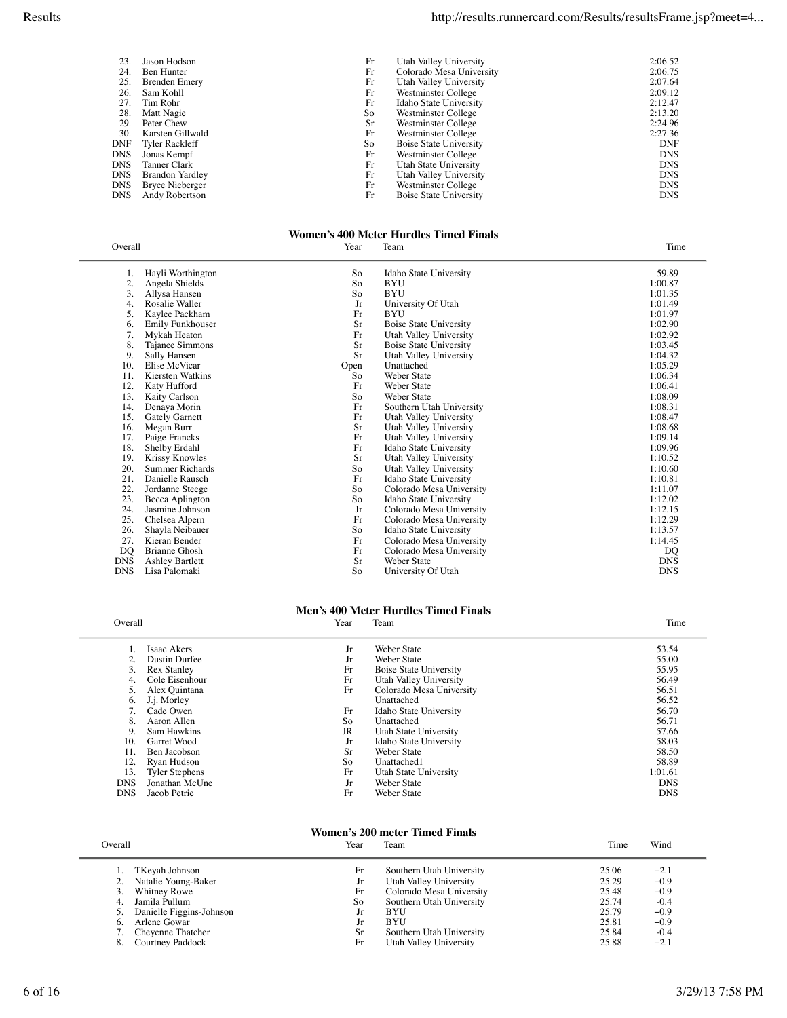| 23         | Jason Hodson          | Fr        | Utah Valley University        | 2:06.52    |
|------------|-----------------------|-----------|-------------------------------|------------|
| 24.        | Ben Hunter            | Fr        | Colorado Mesa University      | 2:06.75    |
| 25.        | Brenden Emery         | Fr        | Utah Valley University        | 2:07.64    |
| 26.        | Sam Kohll             | Fr        | Westminster College           | 2:09.12    |
| 27.        | Tim Rohr              | Fr        | Idaho State University        | 2:12.47    |
| 28.        | Matt Nagie            | So        | Westminster College           | 2:13.20    |
| 29.        | Peter Chew            | <b>Sr</b> | Westminster College           | 2:24.96    |
| 30.        | Karsten Gillwald      | Fr        | Westminster College           | 2:27.36    |
| <b>DNF</b> | <b>Tyler Rackleff</b> | So        | <b>Boise State University</b> | DNF        |
| <b>DNS</b> | Jonas Kempf           | Fr        | Westminster College           | <b>DNS</b> |
| <b>DNS</b> | Tanner Clark          | Fr        | Utah State University         | <b>DNS</b> |
| <b>DNS</b> | Brandon Yardley       | Fr        | Utah Valley University        | <b>DNS</b> |
| <b>DNS</b> | Bryce Nieberger       | Fr        | Westminster College           | <b>DNS</b> |
| <b>DNS</b> | Andy Robertson        | Fr        | Boise State University        | <b>DNS</b> |

## **Women's 400 Meter Hurdles Timed Finals**

| Overall    |                        | Year      | Team                          | Time       |
|------------|------------------------|-----------|-------------------------------|------------|
| 1.         | Hayli Worthington      | So        | Idaho State University        | 59.89      |
| 2.         | Angela Shields         | So        | <b>BYU</b>                    | 1:00.87    |
| 3.         | Allysa Hansen          | So        | <b>BYU</b>                    | 1:01.35    |
| 4.         | Rosalie Waller         | Jr        | University Of Utah            | 1:01.49    |
| 5.         | Kaylee Packham         | Fr        | <b>BYU</b>                    | 1:01.97    |
| 6.         | Emily Funkhouser       | Sr        | <b>Boise State University</b> | 1:02.90    |
| 7.         | Mykah Heaton           | Fr        | Utah Valley University        | 1:02.92    |
| 8.         | Tajanee Simmons        | Sr        | Boise State University        | 1:03.45    |
| 9.         | Sally Hansen           | <b>Sr</b> | Utah Valley University        | 1:04.32    |
| 10.        | Elise McVicar          | Open      | Unattached                    | 1:05.29    |
| 11.        | Kiersten Watkins       | So        | <b>Weber State</b>            | 1:06.34    |
| 12.        | Katy Hufford           | Fr        | <b>Weber State</b>            | 1:06.41    |
| 13.        | Kaity Carlson          | So        | <b>Weber State</b>            | 1:08.09    |
| 14.        | Denaya Morin           | Fr        | Southern Utah University      | 1:08.31    |
| 15.        | <b>Gately Garnett</b>  | Fr        | Utah Valley University        | 1:08.47    |
| 16.        | Megan Burr             | Sr        | Utah Valley University        | 1:08.68    |
| 17.        | Paige Francks          | Fr        | Utah Valley University        | 1:09.14    |
| 18.        | Shelby Erdahl          | Fr        | Idaho State University        | 1:09.96    |
| 19.        | <b>Krissy Knowles</b>  | Sr        | Utah Valley University        | 1:10.52    |
| 20.        | Summer Richards        | So        | Utah Valley University        | 1:10.60    |
| 21.        | Danielle Rausch        | Fr        | Idaho State University        | 1:10.81    |
| 22.        | Jordanne Steege        | So        | Colorado Mesa University      | 1:11.07    |
| 23.        | Becca Aplington        | So        | Idaho State University        | 1:12.02    |
| 24.        | Jasmine Johnson        | Jr        | Colorado Mesa University      | 1:12.15    |
| 25.        | Chelsea Alpern         | Fr        | Colorado Mesa University      | 1:12.29    |
| 26.        | Shayla Neibauer        | So        | Idaho State University        | 1:13.57    |
| 27.        | Kieran Bender          | Fr        | Colorado Mesa University      | 1:14.45    |
| DQ         | <b>Brianne Ghosh</b>   | Fr        | Colorado Mesa University      | DO         |
| <b>DNS</b> | <b>Ashley Bartlett</b> | Sr        | Weber State                   | <b>DNS</b> |
| <b>DNS</b> | Lisa Palomaki          | So        | University Of Utah            | <b>DNS</b> |

# **Men's 400 Meter Hurdles Timed Finals**

| Overall    |                       | Year      | Team                          | Time       |
|------------|-----------------------|-----------|-------------------------------|------------|
|            | Isaac Akers           | Jr        | <b>Weber State</b>            | 53.54      |
|            | Dustin Durfee         | Jr        | Weber State                   | 55.00      |
| 3.         | <b>Rex Stanley</b>    | Fr        | <b>Boise State University</b> | 55.95      |
|            | Cole Eisenhour        | Fr        | Utah Valley University        | 56.49      |
|            | Alex Quintana         | Fr        | Colorado Mesa University      | 56.51      |
| 6.         | J.j. Morley           |           | Unattached                    | 56.52      |
|            | Cade Owen             | Fr        | Idaho State University        | 56.70      |
| 8.         | Aaron Allen           | So        | Unattached                    | 56.71      |
| 9.         | Sam Hawkins           | <b>JR</b> | Utah State University         | 57.66      |
| 10.        | Garret Wood           | Jr        | Idaho State University        | 58.03      |
| 11.        | Ben Jacobson          | Sr        | <b>Weber State</b>            | 58.50      |
| 12.        | Ryan Hudson           | So        | Unattached1                   | 58.89      |
| 13.        | <b>Tyler Stephens</b> | Fr        | Utah State University         | 1:01.61    |
| <b>DNS</b> | Jonathan McUne        | Jr        | Weber State                   | <b>DNS</b> |
| <b>DNS</b> | Jacob Petrie          | Fr        | Weber State                   | <b>DNS</b> |
|            |                       |           |                               |            |

# **Women's 200 meter Timed Finals**<br>Year Team

|              | Year                                                                                                                                        | Team                     | Time  | Wind   |  |
|--------------|---------------------------------------------------------------------------------------------------------------------------------------------|--------------------------|-------|--------|--|
|              | Fr                                                                                                                                          | Southern Utah University | 25.06 | $+2.1$ |  |
|              |                                                                                                                                             | Utah Valley University   | 25.29 | $+0.9$ |  |
|              | Fr                                                                                                                                          | Colorado Mesa University | 25.48 | $+0.9$ |  |
|              | So                                                                                                                                          | Southern Utah University | 25.74 | $-0.4$ |  |
|              | .F                                                                                                                                          | <b>BYU</b>               | 25.79 | $+0.9$ |  |
| Arlene Gowar | Jr                                                                                                                                          | <b>BYU</b>               | 25.81 | $+0.9$ |  |
|              | Sr.                                                                                                                                         | Southern Utah University | 25.84 | $-0.4$ |  |
|              | Fr                                                                                                                                          | Utah Valley University   | 25.88 | $+2.1$ |  |
| Overall      | TKeyah Johnson<br>Natalie Young-Baker<br>Whitney Rowe<br>Jamila Pullum<br>Danielle Figgins-Johnson<br>Cheyenne Thatcher<br>Courtney Paddock |                          |       |        |  |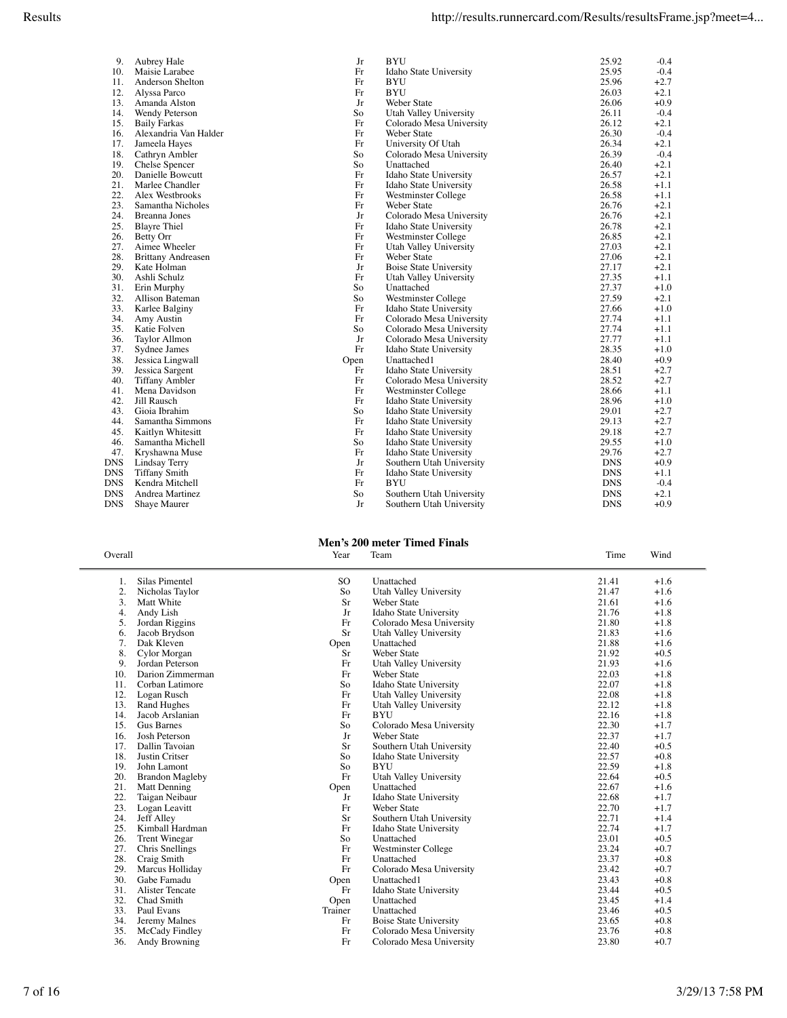| 10.        | Maisie Larabee            |
|------------|---------------------------|
| 11.        | Anderson Shelton          |
| 12.        | Alyssa Parco              |
| 13.        | Amanda Alston             |
| 14.        | Wendy Peterson            |
| 15.        | <b>Baily Farkas</b>       |
| 16.        | Alexandria Van Halder     |
| 17.        | Jameela Hayes             |
| 18.        | Cathryn Ambler            |
| 19.        | Chelse Spencer            |
| 20.        | Danielle Bowcutt          |
| 21.        | Marlee Chandler           |
| 22.        | Alex Westbrooks           |
| 23.        | Samantha Nicholes         |
| 24.        | <b>Breanna Jones</b>      |
| 25.        | <b>Blayre Thiel</b>       |
| 26.        | Betty Orr                 |
| 27.        | Aimee Wheeler             |
| 28.        | <b>Brittany Andreasen</b> |
| 29.        | Kate Holman               |
| 30.        | Ashli Schulz              |
| 31.        | Erin Murphy               |
| 32.        | <b>Allison Bateman</b>    |
| 33.        | Karlee Balginy            |
| 34.        | Amy Austin                |
| 35.        | Katie Folven              |
| 36.        | Taylor Allmon             |
| 37.        | Sydnee James              |
| 38.        | Jessica Lingwall          |
| 39.        | Jessica Sargent           |
| 40.        | <b>Tiffany Ambler</b>     |
| 41.        | Mena Davidson             |
| 42.        | Jill Rausch               |
| 43.        | Gioia Ibrahim             |
| 44.        | Samantha Simmons          |
| 45.        | Kaitlyn Whitesitt         |
| 46.        | Samantha Michell          |
| 47.        | Kryshawna Muse            |
| <b>DNS</b> | Lindsay Terry             |
| <b>DNS</b> | <b>Tiffany Smith</b>      |
| <b>DNS</b> | Kendra Mitchell           |
| DNS        | Andrea Martinez           |

| 1.  | Silas Pimentel         |
|-----|------------------------|
| 2.  | Nicholas Taylor        |
| 3.  | Matt White             |
| 4.  | Andy Lish              |
| 5.  | Jordan Riggins         |
| 6.  | Jacob Brydson          |
| 7.  | Dak Kleven             |
| 8.  | Cylor Morgan           |
| 9.  | Jordan Peterson        |
| 10. | Darion Zimmerman       |
| 11. | Corban Latimore        |
| 12. | Logan Rusch            |
| 13. | Rand Hughes            |
| 14. | Jacob Arslanian        |
| 15. | <b>Gus Barnes</b>      |
| 16. | <b>Josh Peterson</b>   |
| 17. | Dallin Tavoian         |
| 18. | Justin Critser         |
| 19. | John Lamont            |
| 20. | <b>Brandon Magleby</b> |
| 21. | Matt Denning           |
| 22. | Taigan Neibaur         |
| 23. | Logan Leavitt          |
| 24. | Jeff Alley             |
| 25. | Kimball Hardman        |
| 26. | Trent Winegar          |
| 27. | Chris Snellings        |
| 28. | Craig Smith            |
| 29. | Marcus Holliday        |
| 30. | Gabe Famadu            |
| 31. | Alister Tencate        |
| 32. | Chad Smith             |
| 33. | Paul Evans             |
| 34. | Jeremy Malnes          |
| 35. | McCady Findley         |
| 36. | Andy Browning          |
|     |                        |

| 9.         | Aubrey Hale               | Jr   | <b>BYU</b>                    | 25.92      | $-0.4$ |
|------------|---------------------------|------|-------------------------------|------------|--------|
| 10.        | Maisie Larabee            | Fr   | Idaho State University        | 25.95      | $-0.4$ |
| 11.        | Anderson Shelton          | Fr   | <b>BYU</b>                    | 25.96      | $+2.7$ |
| 12.        | Alyssa Parco              | Fr   | <b>BYU</b>                    | 26.03      | $+2.1$ |
| 13.        | Amanda Alston             | Jr   | <b>Weber State</b>            | 26.06      | $+0.9$ |
| 14.        | Wendy Peterson            | So   | Utah Valley University        | 26.11      | $-0.4$ |
| 15.        | <b>Baily Farkas</b>       | Fr   | Colorado Mesa University      | 26.12      | $+2.1$ |
| 16.        | Alexandria Van Halder     | Fr   | <b>Weber State</b>            | 26.30      | $-0.4$ |
| 17.        | Jameela Hayes             | Fr   | University Of Utah            | 26.34      | $+2.1$ |
| 18.        | Cathryn Ambler            | So   | Colorado Mesa University      | 26.39      | $-0.4$ |
| 19.        | Chelse Spencer            | So   | Unattached                    | 26.40      | $+2.1$ |
| 20.        | Danielle Bowcutt          | Fr   | Idaho State University        | 26.57      | $+2.1$ |
| 21.        | Marlee Chandler           | Fr   | Idaho State University        | 26.58      | $+1.1$ |
| 22.        | Alex Westbrooks           | Fr   | Westminster College           | 26.58      | $+1.1$ |
| 23.        | Samantha Nicholes         | Fr   | Weber State                   | 26.76      | $+2.1$ |
| 24.        | Breanna Jones             | Jr   | Colorado Mesa University      | 26.76      | $+2.1$ |
| 25.        | <b>Blayre Thiel</b>       | Fr   | Idaho State University        | 26.78      | $+2.1$ |
| 26.        | Betty Orr                 | Fr   | Westminster College           | 26.85      | $+2.1$ |
| 27.        | Aimee Wheeler             | Fr   | Utah Valley University        | 27.03      | $+2.1$ |
| 28.        | <b>Brittany Andreasen</b> | Fr   | Weber State                   | 27.06      | $+2.1$ |
| 29.        | Kate Holman               | Jr   | <b>Boise State University</b> | 27.17      | $+2.1$ |
| 30.        | Ashli Schulz              | Fr   | Utah Valley University        | 27.35      | $+1.1$ |
| 31.        | Erin Murphy               | So   | Unattached                    | 27.37      | $+1.0$ |
| 32.        | Allison Bateman           | So   | Westminster College           | 27.59      | $+2.1$ |
| 33.        | Karlee Balginy            | Fr   | Idaho State University        | 27.66      | $+1.0$ |
| 34.        | Amy Austin                | Fr   | Colorado Mesa University      | 27.74      | $+1.1$ |
| 35.        | Katie Folven              | So   | Colorado Mesa University      | 27.74      | $+1.1$ |
| 36.        | Taylor Allmon             | Jr   | Colorado Mesa University      | 27.77      | $+1.1$ |
| 37.        | Sydnee James              | Fr   | Idaho State University        | 28.35      | $+1.0$ |
| 38.        | Jessica Lingwall          | Open | Unattached l                  | 28.40      | $+0.9$ |
| 39.        | Jessica Sargent           | Fr   | Idaho State University        | 28.51      | $+2.7$ |
| 40.        | <b>Tiffany Ambler</b>     | Fr   | Colorado Mesa University      | 28.52      | $+2.7$ |
| 41.        | Mena Davidson             | Fr   | Westminster College           | 28.66      | $+1.1$ |
| 42.        | Jill Rausch               | Fr   | Idaho State University        | 28.96      | $+1.0$ |
| 43.        | Gioia Ibrahim             | So   | Idaho State University        | 29.01      | $+2.7$ |
| 44.        | Samantha Simmons          | Fr   | Idaho State University        | 29.13      | $+2.7$ |
| 45.        | Kaitlyn Whitesitt         | Fr   | Idaho State University        | 29.18      | $+2.7$ |
| 46.        | Samantha Michell          | So   | Idaho State University        | 29.55      | $+1.0$ |
| 47.        | Kryshawna Muse            | Fr   | Idaho State University        | 29.76      | $+2.7$ |
| <b>DNS</b> | Lindsay Terry             | Jr   | Southern Utah University      | <b>DNS</b> | $+0.9$ |
| <b>DNS</b> | <b>Tiffany Smith</b>      | Fr   | Idaho State University        | <b>DNS</b> | $+1.1$ |
| <b>DNS</b> | Kendra Mitchell           | Fr   | <b>BYU</b>                    | <b>DNS</b> | $-0.4$ |
| <b>DNS</b> | Andrea Martinez           | So   | Southern Utah University      | <b>DNS</b> | $+2.1$ |
| <b>DNS</b> | Shaye Maurer              | Jr   | Southern Utah University      | <b>DNS</b> | $+0.9$ |

## **Men's 200 meter Timed Finals**<br>Year Team

| Overall |                        | Year      | Team                     | Time  | Wind   |
|---------|------------------------|-----------|--------------------------|-------|--------|
| 1.      | Silas Pimentel         | SO.       | Unattached               | 21.41 | $+1.6$ |
| 2.      | Nicholas Taylor        | So        | Utah Valley University   | 21.47 | $+1.6$ |
| 3.      | Matt White             | <b>Sr</b> | <b>Weber State</b>       | 21.61 | $+1.6$ |
| 4.      | Andy Lish              | Jr        | Idaho State University   | 21.76 | $+1.8$ |
| 5.      | Jordan Riggins         | Fr        | Colorado Mesa University | 21.80 | $+1.8$ |
| 6.      | Jacob Brydson          | <b>Sr</b> | Utah Valley University   | 21.83 | $+1.6$ |
| 7.      | Dak Kleven             | Open      | Unattached               | 21.88 | $+1.6$ |
| 8.      | Cylor Morgan           | Sr        | <b>Weber State</b>       | 21.92 | $+0.5$ |
| 9.      | Jordan Peterson        | Fr        | Utah Valley University   | 21.93 | $+1.6$ |
| 10.     | Darion Zimmerman       | Fr        | <b>Weber State</b>       | 22.03 | $+1.8$ |
| 11.     | Corban Latimore        | So        | Idaho State University   | 22.07 | $+1.8$ |
| 12.     | Logan Rusch            | Fr        | Utah Valley University   | 22.08 | $+1.8$ |
| 13.     | Rand Hughes            | Fr        | Utah Valley University   | 22.12 | $+1.8$ |
| 14.     | Jacob Arslanian        | Fr        | <b>BYU</b>               | 22.16 | $+1.8$ |
| 15.     | Gus Barnes             | So        | Colorado Mesa University | 22.30 | $+1.7$ |
| 16.     | <b>Josh Peterson</b>   | Jr        | <b>Weber State</b>       | 22.37 | $+1.7$ |
| 17.     | Dallin Tavoian         | <b>Sr</b> | Southern Utah University | 22.40 | $+0.5$ |
| 18.     | Justin Critser         | So        | Idaho State University   | 22.57 | $+0.8$ |
| 19.     | John Lamont            | So        | <b>BYU</b>               | 22.59 | $+1.8$ |
| 20.     | <b>Brandon Magleby</b> | Fr        | Utah Valley University   | 22.64 | $+0.5$ |
| 21.     | Matt Denning           | Open      | Unattached               | 22.67 | $+1.6$ |
| 22.     | Taigan Neibaur         | Jr        | Idaho State University   | 22.68 | $+1.7$ |
| 23.     | Logan Leavitt          | Fr        | <b>Weber State</b>       | 22.70 | $+1.7$ |
| 24.     | Jeff Alley             | Sr        | Southern Utah University | 22.71 | $+1.4$ |
| 25.     | Kimball Hardman        | Fr        | Idaho State University   | 22.74 | $+1.7$ |
| 26.     | <b>Trent Winegar</b>   | So        | Unattached               | 23.01 | $+0.5$ |
| 27.     | Chris Snellings        | Fr        | Westminster College      | 23.24 | $+0.7$ |
| 28.     | Craig Smith            | Fr        | Unattached               | 23.37 | $+0.8$ |
| 29.     | Marcus Holliday        | Fr        | Colorado Mesa University | 23.42 | $+0.7$ |
| 30.     | Gabe Famadu            | Open      | Unattached1              | 23.43 | $+0.8$ |
| 31.     | Alister Tencate        | Fr        | Idaho State University   | 23.44 | $+0.5$ |
| 32.     | Chad Smith             | Open      | Unattached               | 23.45 | $+1.4$ |
| 33.     | Paul Evans             | Trainer   | Unattached               | 23.46 | $+0.5$ |
| 34.     | Jeremy Malnes          | Fr        | Boise State University   | 23.65 | $+0.8$ |
| 35.     | McCady Findley         | Fr        | Colorado Mesa University | 23.76 | $+0.8$ |
| 36.     | Andy Browning          | Fr        | Colorado Mesa University | 23.80 | $+0.7$ |
|         |                        |           |                          |       |        |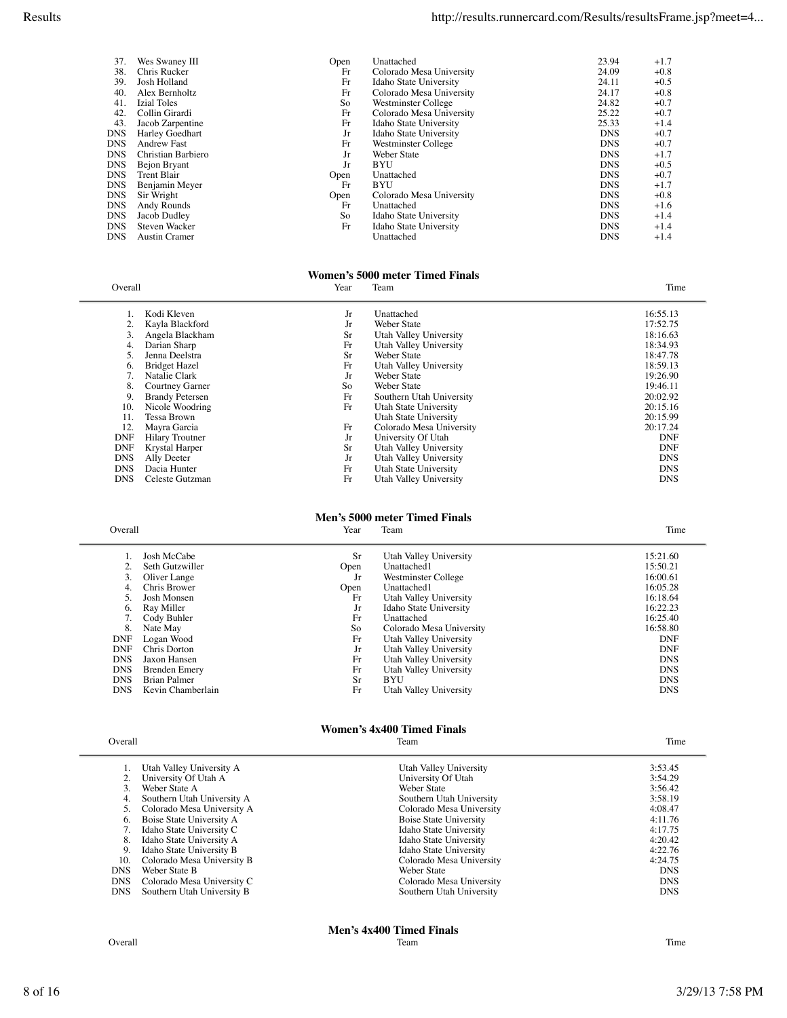| 37. | Wes Swaney III       | Open | Unattached               | 23.94      | $+1.7$ |
|-----|----------------------|------|--------------------------|------------|--------|
| 38. | Chris Rucker         | Fr   | Colorado Mesa University | 24.09      | $+0.8$ |
| 39. | Josh Holland         | Fr   | Idaho State University   | 24.11      | $+0.5$ |
| 40. | Alex Bernholtz       | Fr   | Colorado Mesa University | 24.17      | $+0.8$ |
| 41. | <b>Izial Toles</b>   | So   | Westminster College      | 24.82      | $+0.7$ |
| 42. | Collin Girardi       | Fr   | Colorado Mesa University | 25.22      | $+0.7$ |
| 43. | Jacob Zarpentine     | Fr   | Idaho State University   | 25.33      | $+1.4$ |
| DNS | Harley Goedhart      | Jr   | Idaho State University   | <b>DNS</b> | $+0.7$ |
| DNS | <b>Andrew Fast</b>   | Fr   | Westminster College      | <b>DNS</b> | $+0.7$ |
| DNS | Christian Barbiero   | Jr   | <b>Weber State</b>       | <b>DNS</b> | $+1.7$ |
| DNS | Bejon Bryant         | Jr   | <b>BYU</b>               | <b>DNS</b> | $+0.5$ |
| DNS | <b>Trent Blair</b>   | Open | Unattached               | <b>DNS</b> | $+0.7$ |
| DNS | Benjamin Meyer       | Fr   | <b>BYU</b>               | <b>DNS</b> | $+1.7$ |
| DNS | Sir Wright           | Open | Colorado Mesa University | <b>DNS</b> | $+0.8$ |
| DNS | Andy Rounds          | Fr   | Unattached               | <b>DNS</b> | $+1.6$ |
| DNS | Jacob Dudley         | So   | Idaho State University   | <b>DNS</b> | $+1.4$ |
| DNS | <b>Steven Wacker</b> | Fr   | Idaho State University   | <b>DNS</b> | $+1.4$ |
| DNS | <b>Austin Cramer</b> |      | Unattached               | <b>DNS</b> | $+1.4$ |
|     |                      |      |                          |            |        |

#### **Women's 5000 meter Timed Finals**

| Overall    |                        | Year | Team                     | Time       |
|------------|------------------------|------|--------------------------|------------|
|            | Kodi Kleven            | Jr   | Unattached               | 16:55.13   |
|            | Kayla Blackford        | Jr   | Weber State              | 17:52.75   |
| 3.         | Angela Blackham        | Sr   | Utah Valley University   | 18:16.63   |
|            | Darian Sharp           | Fr   | Utah Valley University   | 18:34.93   |
|            | Jenna Deelstra         | Sr   | Weber State              | 18:47.78   |
| 6.         | <b>Bridget Hazel</b>   | Fr   | Utah Valley University   | 18:59.13   |
|            | Natalie Clark          | Jr   | Weber State              | 19:26.90   |
| 8.         | Courtney Garner        | So   | Weber State              | 19:46.11   |
| 9.         | <b>Brandy Petersen</b> | Fr   | Southern Utah University | 20:02.92   |
| 10.        | Nicole Woodring        | Fr   | Utah State University    | 20:15.16   |
| 11.        | Tessa Brown            |      | Utah State University    | 20:15.99   |
| 12.        | Mayra Garcia           | Fr   | Colorado Mesa University | 20:17.24   |
| <b>DNF</b> | <b>Hilary Troutner</b> | Jr   | University Of Utah       | <b>DNF</b> |
| <b>DNF</b> | Krystal Harper         | Sr   | Utah Valley University   | <b>DNF</b> |
| <b>DNS</b> | Ally Deeter            | Jr   | Utah Valley University   | <b>DNS</b> |
| <b>DNS</b> | Dacia Hunter           | Fr   | Utah State University    | <b>DNS</b> |
| <b>DNS</b> | Celeste Gutzman        | Fr   | Utah Valley University   | <b>DNS</b> |

# **Men's 5000 meter Timed Finals**<br>Year Team

| Overall | Year | <b>CONTRACTOR</b><br>leam | $\sim$<br>ime |
|---------|------|---------------------------|---------------|
|         |      |                           |               |

| Josh McCabe          | <b>Sr</b> | Utah Valley University   | 15:21.60   |
|----------------------|-----------|--------------------------|------------|
| Seth Gutzwiller      | Open      | Unattached1              | 15:50.21   |
| Oliver Lange         | Jr        | Westminster College      | 16:00.61   |
| Chris Brower         | Open      | Unattached1              | 16:05.28   |
| Josh Monsen          | Fr        | Utah Valley University   | 16:18.64   |
| Ray Miller           | Jr        | Idaho State University   | 16:22.23   |
| Cody Buhler          | Fr        | Unattached               | 16:25.40   |
| Nate May             | So        | Colorado Mesa University | 16:58.80   |
| Logan Wood           | Fr        | Utah Valley University   | <b>DNF</b> |
| Chris Dorton         | Jr        | Utah Valley University   | <b>DNF</b> |
| Jaxon Hansen         | Fr        | Utah Valley University   | <b>DNS</b> |
| <b>Brenden Emery</b> | Fr        | Utah Valley University   | <b>DNS</b> |
| Brian Palmer         | <b>Sr</b> | <b>BYU</b>               | <b>DNS</b> |
| Kevin Chamberlain    | Fr        | Utah Valley University   | <b>DNS</b> |
|                      |           |                          |            |

### Overall **The Contract of Contract Contract Contract Contract Contract Contract Contract Contract Contract Contract Contract Contract Contract Contract Contract Contract Contract Contract Contract Contract Contract Contract**

# **Women's 4x400 Timed Finals**<br>Team

|            | Utah Valley University A   | Utah Valley University        | 3:53.45    |
|------------|----------------------------|-------------------------------|------------|
|            | University Of Utah A       | University Of Utah            | 3:54.29    |
|            | Weber State A              | Weber State                   | 3:56.42    |
| 4.         | Southern Utah University A | Southern Utah University      | 3:58.19    |
|            | Colorado Mesa University A | Colorado Mesa University      | 4:08.47    |
| 6.         | Boise State University A   | <b>Boise State University</b> | 4:11.76    |
|            | Idaho State University C   | Idaho State University        | 4:17.75    |
| 8.         | Idaho State University A   | Idaho State University        | 4:20.42    |
| 9.         | Idaho State University B   | Idaho State University        | 4:22.76    |
| 10.        | Colorado Mesa University B | Colorado Mesa University      | 4:24.75    |
| <b>DNS</b> | Weber State B              | Weber State                   | <b>DNS</b> |
| <b>DNS</b> | Colorado Mesa University C | Colorado Mesa University      | <b>DNS</b> |
| <b>DNS</b> | Southern Utah University B | Southern Utah University      | <b>DNS</b> |
|            |                            |                               |            |

**Men's 4x400 Timed Finals**<br>Team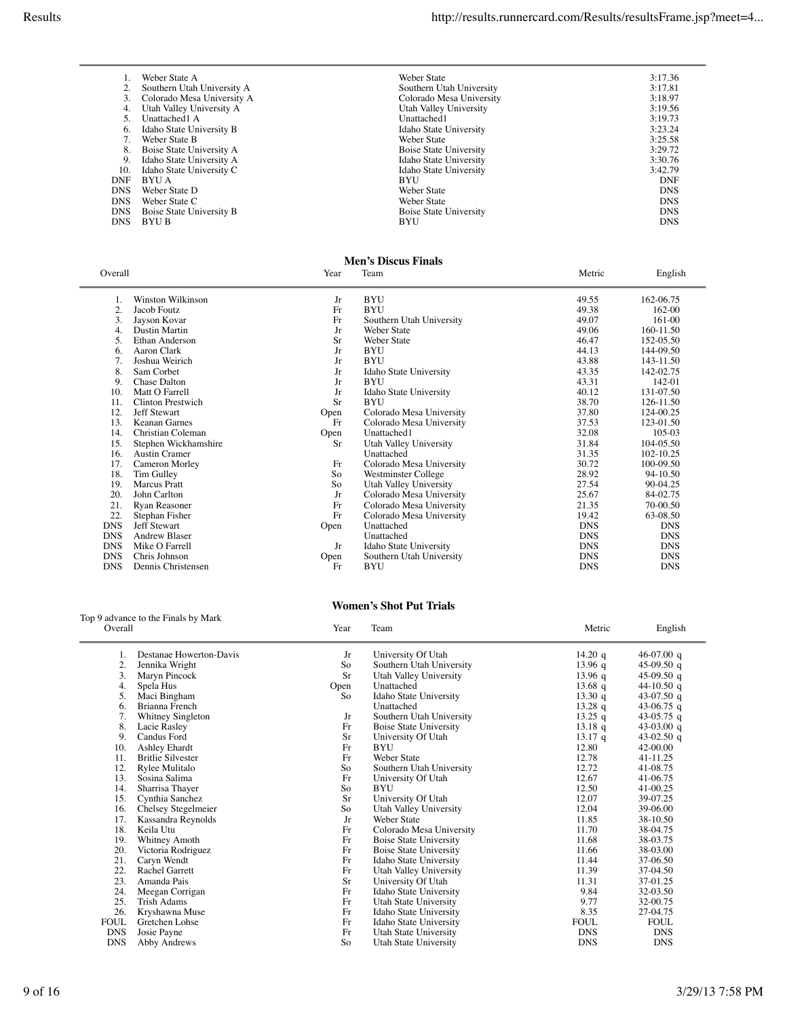|      | Weber State A              | Weber State                   | 3:17.36    |
|------|----------------------------|-------------------------------|------------|
|      | Southern Utah University A | Southern Utah University      | 3:17.81    |
| 3.   | Colorado Mesa University A | Colorado Mesa University      | 3:18.97    |
| 4.   | Utah Valley University A   | Utah Valley University        | 3:19.56    |
| 5.   | Unattached1 A              | Unattached1                   | 3:19.73    |
| 6.   | Idaho State University B   | Idaho State University        | 3:23.24    |
|      | Weber State B              | Weber State                   | 3:25.58    |
| 8.   | Boise State University A   | <b>Boise State University</b> | 3:29.72    |
| 9.   | Idaho State University A   | Idaho State University        | 3:30.76    |
| 10.  | Idaho State University C   | Idaho State University        | 3:42.79    |
| DNF  | BYU A                      | <b>BYU</b>                    | <b>DNF</b> |
| DNS. | Weber State D              | <b>Weber State</b>            | <b>DNS</b> |
| DNS  | Weber State C              | <b>Weber State</b>            | <b>DNS</b> |
| DNS  | Boise State University B   | <b>Boise State University</b> | <b>DNS</b> |
| DNS. | <b>BYU B</b>               | <b>BYU</b>                    | <b>DNS</b> |
|      |                            |                               |            |

## **Men's Discus Finals**

| Overall    |                      | Year      | Team                     | Metric     | English    |
|------------|----------------------|-----------|--------------------------|------------|------------|
|            | Winston Wilkinson    | Jr        | <b>BYU</b>               | 49.55      | 162-06.75  |
| 2.         | Jacob Foutz          | Fr        | <b>BYU</b>               | 49.38      | 162-00     |
| 3.         | Jayson Kovar         | Fr        | Southern Utah University | 49.07      | 161-00     |
| 4.         | <b>Dustin Martin</b> | Jr        | <b>Weber State</b>       | 49.06      | 160-11.50  |
| 5.         | Ethan Anderson       | <b>Sr</b> | <b>Weber State</b>       | 46.47      | 152-05.50  |
| 6.         | Aaron Clark          | Jr        | <b>BYU</b>               | 44.13      | 144-09.50  |
| 7.         | Joshua Weirich       | Jr        | <b>BYU</b>               | 43.88      | 143-11.50  |
| 8.         | Sam Corbet           | Jr        | Idaho State University   | 43.35      | 142-02.75  |
| 9.         | Chase Dalton         | Jr        | <b>BYU</b>               | 43.31      | 142-01     |
| 10.        | Matt O Farrell       | Jr        | Idaho State University   | 40.12      | 131-07.50  |
| 11.        | Clinton Prestwich    | <b>Sr</b> | <b>BYU</b>               | 38.70      | 126-11.50  |
| 12.        | <b>Jeff Stewart</b>  | Open      | Colorado Mesa University | 37.80      | 124-00.25  |
| 13.        | Keanan Garnes        | Fr        | Colorado Mesa University | 37.53      | 123-01.50  |
| 14.        | Christian Coleman    | Open      | Unattached1              | 32.08      | 105-03     |
| 15.        | Stephen Wickhamshire | Sr        | Utah Valley University   | 31.84      | 104-05.50  |
| 16.        | <b>Austin Cramer</b> |           | Unattached               | 31.35      | 102-10.25  |
| 17.        | Cameron Morley       | Fr        | Colorado Mesa University | 30.72      | 100-09.50  |
| 18.        | Tim Gulley           | So        | Westminster College      | 28.92      | 94-10.50   |
| 19.        | <b>Marcus</b> Pratt  | So        | Utah Valley University   | 27.54      | 90-04.25   |
| 20.        | John Carlton         | Jr        | Colorado Mesa University | 25.67      | 84-02.75   |
| 21.        | Ryan Reasoner        | Fr        | Colorado Mesa University | 21.35      | 70-00.50   |
| 22.        | Stephan Fisher       | Fr        | Colorado Mesa University | 19.42      | 63-08.50   |
| <b>DNS</b> | <b>Jeff Stewart</b>  | Open      | Unattached               | <b>DNS</b> | <b>DNS</b> |
| <b>DNS</b> | <b>Andrew Blaser</b> |           | Unattached               | <b>DNS</b> | <b>DNS</b> |
| <b>DNS</b> | Mike O Farrell       | Jr        | Idaho State University   | <b>DNS</b> | <b>DNS</b> |
| <b>DNS</b> | Chris Johnson        | Open      | Southern Utah University | <b>DNS</b> | <b>DNS</b> |
| <b>DNS</b> | Dennis Christensen   | Fr        | BYU                      | <b>DNS</b> | <b>DNS</b> |

### Top 9 advance to the Finals by Mark

| Overall     |                          | Year      | Team                          | Metric            | English     |
|-------------|--------------------------|-----------|-------------------------------|-------------------|-------------|
| 1.          | Destanae Howerton-Davis  | Jr        | University Of Utah            | 14.20 q           | 46-07.00 q  |
| 2.          | Jennika Wright           | So        | Southern Utah University      | $13.96$ q         | 45-09.50 q  |
| 3.          | Maryn Pincock            | <b>Sr</b> | Utah Valley University        | 13.96 q           | 45-09.50 q  |
| 4.          | Spela Hus                | Open      | Unattached                    | $13.68$ q         | 44-10.50 q  |
| 5.          | Maci Bingham             | So        | Idaho State University        | 13.30q            | 43-07.50 q  |
| 6.          | Brianna French           |           | Unattached                    | $13.28 \text{ q}$ | 43-06.75 q  |
| 7.          | Whitney Singleton        | Jr        | Southern Utah University      | 13.25 q           | 43-05.75 q  |
| 8.          | Lacie Rasley             | Fr        | <b>Boise State University</b> | $13.18 \text{ q}$ | 43-03.00 q  |
| 9.          | Candus Ford              | Sr        | University Of Utah            | $13.17$ q         | 43-02.50 q  |
| 10.         | Ashley Ehardt            | Fr        | <b>BYU</b>                    | 12.80             | 42-00.00    |
| 11.         | <b>Britlie Silvester</b> | Fr        | <b>Weber State</b>            | 12.78             | 41-11.25    |
| 12.         | Rylee Mulitalo           | So        | Southern Utah University      | 12.72             | 41-08.75    |
| 13.         | Sosina Salima            | Fr        | University Of Utah            | 12.67             | 41-06.75    |
| 14.         | Sharrisa Thayer          | So        | <b>BYU</b>                    | 12.50             | 41-00.25    |
| 15.         | Cynthia Sanchez          | <b>Sr</b> | University Of Utah            | 12.07             | 39-07.25    |
| 16.         | Chelsey Stegelmeier      | So        | Utah Valley University        | 12.04             | 39-06.00    |
| 17.         | Kassandra Reynolds       | Jr        | <b>Weber State</b>            | 11.85             | 38-10.50    |
| 18.         | Keila Utu                | Fr        | Colorado Mesa University      | 11.70             | 38-04.75    |
| 19.         | Whitney Amoth            | Fr        | Boise State University        | 11.68             | 38-03.75    |
| 20.         | Victoria Rodriguez       | Fr        | <b>Boise State University</b> | 11.66             | 38-03.00    |
| 21.         | Caryn Wendt              | Fr        | Idaho State University        | 11.44             | 37-06.50    |
| 22.         | Rachel Garrett           | Fr        | Utah Valley University        | 11.39             | 37-04.50    |
| 23.         | Amanda Pais              | Sr        | University Of Utah            | 11.31             | 37-01.25    |
| 24.         | Meegan Corrigan          | Fr        | Idaho State University        | 9.84              | 32-03.50    |
| 25.         | Trish Adams              | Fr        | Utah State University         | 9.77              | 32-00.75    |
| 26.         | Kryshawna Muse           | Fr        | Idaho State University        | 8.35              | 27-04.75    |
| <b>FOUL</b> | Gretchen Lohse           | Fr        | Idaho State University        | <b>FOUL</b>       | <b>FOUL</b> |
| <b>DNS</b>  | Josie Payne              | Fr        | Utah State University         | <b>DNS</b>        | <b>DNS</b>  |
| <b>DNS</b>  | Abby Andrews             | So        | Utah State University         | <b>DNS</b>        | <b>DNS</b>  |

**Women's Shot Put Trials**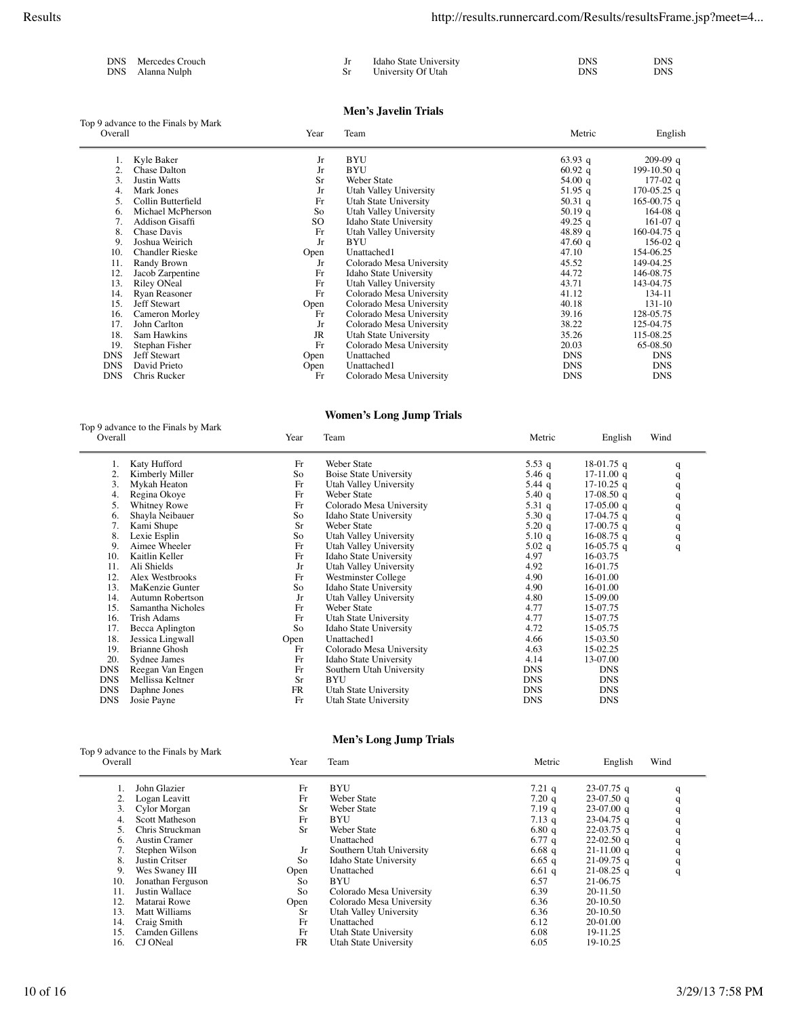| DNS Mercedes Crouch | Idaho State University | DNS | <b>DNS</b> |
|---------------------|------------------------|-----|------------|
| DNS – Alanna Nulph  | University Of Utah     | DNS | DNS -      |

### **Men's Javelin Trials**

| Top 9 advance to the Finals by Mark<br>Overall |                        | Year      | Team                     | Metric     | English     |  |
|------------------------------------------------|------------------------|-----------|--------------------------|------------|-------------|--|
|                                                | Kyle Baker             | Jr        | <b>BYU</b>               | 63.93 q    | $209-09$ q  |  |
| 2.                                             | <b>Chase Dalton</b>    | Jr        | <b>BYU</b>               | $60.92\ q$ | 199-10.50 q |  |
| 3.                                             | <b>Justin Watts</b>    | Sr        | Weber State              | 54.00 $q$  | $177-02$ q  |  |
| 4.                                             | Mark Jones             | Jr        | Utah Valley University   | 51.95 q    | 170-05.25 q |  |
| 5.                                             | Collin Butterfield     | Fr        | Utah State University    | 50.31 $q$  | 165-00.75 q |  |
| 6.                                             | Michael McPherson      | So        | Utah Valley University   | 50.19 $q$  | $164-08$ q  |  |
| 7.                                             | Addison Gisaffi        | SO.       | Idaho State University   | 49.25 q    | $161-07$ q  |  |
| 8.                                             | Chase Davis            | Fr        | Utah Valley University   | 48.89 q    | 160-04.75 q |  |
| 9.                                             | Joshua Weirich         | Jr        | BYU                      | 47.60 $q$  | 156-02 q    |  |
| 10.                                            | <b>Chandler Rieske</b> | Open      | Unattached1              | 47.10      | 154-06.25   |  |
| 11.                                            | Randy Brown            | Jr        | Colorado Mesa University | 45.52      | 149-04.25   |  |
| 12.                                            | Jacob Zarpentine       | Fr        | Idaho State University   | 44.72      | 146-08.75   |  |
| 13.                                            | Riley ONeal            | Fr        | Utah Valley University   | 43.71      | 143-04.75   |  |
| 14.                                            | Ryan Reasoner          | Fr        | Colorado Mesa University | 41.12      | 134-11      |  |
| 15.                                            | Jeff Stewart           | Open      | Colorado Mesa University | 40.18      | 131-10      |  |
| 16.                                            | Cameron Morley         | Fr        | Colorado Mesa University | 39.16      | 128-05.75   |  |
| 17.                                            | John Carlton           | Jr        | Colorado Mesa University | 38.22      | 125-04.75   |  |
| 18.                                            | Sam Hawkins            | <b>JR</b> | Utah State University    | 35.26      | 115-08.25   |  |
| 19.                                            | Stephan Fisher         | Fr        | Colorado Mesa University | 20.03      | 65-08.50    |  |
| <b>DNS</b>                                     | Jeff Stewart           | Open      | Unattached               | <b>DNS</b> | <b>DNS</b>  |  |
| <b>DNS</b>                                     | David Prieto           | Open      | Unattached1              | <b>DNS</b> | <b>DNS</b>  |  |
| <b>DNS</b>                                     | Chris Rucker           | Fr        | Colorado Mesa University | <b>DNS</b> | <b>DNS</b>  |  |

### **Women's Long Jump Trials**

| Overall    | Top 9 advance to the Finals by Mark | Year      | Team                          | Metric     | English      | Wind |
|------------|-------------------------------------|-----------|-------------------------------|------------|--------------|------|
|            | Katy Hufford                        | Fr        | Weber State                   | 5.53 q     | 18-01.75 q   | q    |
| 2.         | Kimberly Miller                     | So        | <b>Boise State University</b> | 5.46 $q$   | $17-11.00$ q | q    |
| 3.         | Mykah Heaton                        | Fr        | Utah Valley University        | 5.44 $q$   | $17-10.25$ q | q    |
| 4.         | Regina Okoye                        | Fr        | Weber State                   | 5.40 q     | 17-08.50 q   | q    |
| 5.         | <b>Whitney Rowe</b>                 | Fr        | Colorado Mesa University      | 5.31 $q$   | $17-05.00$ q | q    |
| 6.         | Shayla Neibauer                     | So        | Idaho State University        | 5.30 $q$   | 17-04.75 q   | q    |
| 7.         | Kami Shupe                          | <b>Sr</b> | Weber State                   | $5.20\ q$  | $17-00.75$ q | q    |
| 8.         | Lexie Esplin                        | So        | Utah Valley University        | 5.10q      | $16-08.75$ q | q    |
| 9.         | Aimee Wheeler                       | Fr        | Utah Valley University        | $5.02\ q$  | $16-05.75$ q | q    |
| 10.        | Kaitlin Keller                      | Fr        | Idaho State University        | 4.97       | 16-03.75     |      |
| 11.        | Ali Shields                         | Jr        | Utah Valley University        | 4.92       | 16-01.75     |      |
| 12.        | Alex Westbrooks                     | Fr        | Westminster College           | 4.90       | 16-01.00     |      |
| 13.        | MaKenzie Gunter                     | So        | Idaho State University        | 4.90       | 16-01.00     |      |
| 14.        | Autumn Robertson                    | Jr        | Utah Valley University        | 4.80       | 15-09.00     |      |
| 15.        | Samantha Nicholes                   | Fr        | Weber State                   | 4.77       | 15-07.75     |      |
| 16.        | Trish Adams                         | Fr        | Utah State University         | 4.77       | 15-07.75     |      |
| 17.        | Becca Aplington                     | So        | Idaho State University        | 4.72       | 15-05.75     |      |
| 18.        | Jessica Lingwall                    | Open      | Unattached1                   | 4.66       | 15-03.50     |      |
| 19.        | <b>Brianne Ghosh</b>                | Fr        | Colorado Mesa University      | 4.63       | 15-02.25     |      |
| 20.        | Sydnee James                        | Fr        | Idaho State University        | 4.14       | 13-07.00     |      |
| <b>DNS</b> | Reegan Van Engen                    | Fr        | Southern Utah University      | <b>DNS</b> | <b>DNS</b>   |      |
| <b>DNS</b> | Mellissa Keltner                    | <b>Sr</b> | <b>BYU</b>                    | <b>DNS</b> | <b>DNS</b>   |      |
| <b>DNS</b> | Daphne Jones                        | <b>FR</b> | Utah State University         | <b>DNS</b> | <b>DNS</b>   |      |
| <b>DNS</b> | Josie Payne                         | Fr        | Utah State University         | <b>DNS</b> | <b>DNS</b>   |      |

### **Men's Long Jump Trials**

| Top 9 advance to the Finals by Mark<br>Overall<br>Year |                       |           |                          |            |              |      |
|--------------------------------------------------------|-----------------------|-----------|--------------------------|------------|--------------|------|
|                                                        |                       |           | Team                     | Metric     | English      | Wind |
|                                                        | John Glazier          | Fr        | <b>BYU</b>               | $7.21\;q$  | $23-07.75$ q |      |
|                                                        | Logan Leavitt         | Fr        | Weber State              | $7.20\,$ q | $23-07.50$ q |      |
|                                                        | Cylor Morgan          | Sr        | Weber State              | 7.19q      | $23-07.00$ q |      |
| 4.                                                     | <b>Scott Matheson</b> | Fr        | BYU                      | $7.13\ q$  | $23-04.75$ q |      |
| 5.                                                     | Chris Struckman       | Sr        | Weber State              | 6.80q      | $22-03.75$ q |      |
| 6.                                                     | Austin Cramer         |           | Unattached               | 6.77 $q$   | $22-02.50$ q |      |
|                                                        | Stephen Wilson        | Jr        | Southern Utah University | $6.68\;q$  | $21-11.00$ q |      |
| 8.                                                     | Justin Critser        | So        | Idaho State University   | 6.65 q     | $21-09.75$ q |      |
| 9.                                                     | Wes Swaney III        | Open      | Unattached               | $6.61$ q   | $21-08.25$ q | q    |
| 10.                                                    | Jonathan Ferguson     | So        | <b>BYU</b>               | 6.57       | 21-06.75     |      |
| 11.                                                    | Justin Wallace        | So        | Colorado Mesa University | 6.39       | 20-11.50     |      |
| 12.                                                    | Matarai Rowe          | Open      | Colorado Mesa University | 6.36       | 20-10.50     |      |
| 13.                                                    | Matt Williams         | <b>Sr</b> | Utah Valley University   | 6.36       | 20-10.50     |      |
| 14.                                                    | Craig Smith           | Fr        | Unattached               | 6.12       | 20-01.00     |      |
| 15.                                                    | Camden Gillens        | Fr        | Utah State University    | 6.08       | 19-11.25     |      |
| 16.                                                    | CJ ONeal              | <b>FR</b> | Utah State University    | 6.05       | 19-10.25     |      |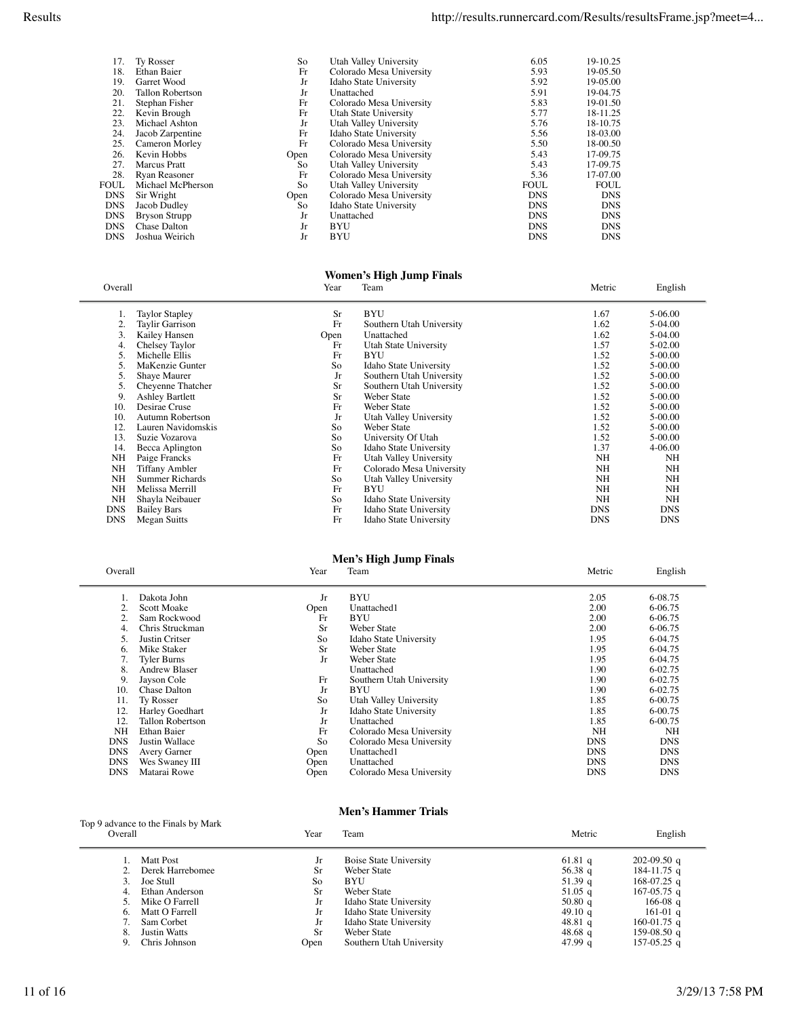| 17.        | <b>Ty Rosser</b>     | So   | Utah Valley University   | 6.05        | 19-10.25    |
|------------|----------------------|------|--------------------------|-------------|-------------|
| 18.        | Ethan Baier          | Fr   | Colorado Mesa University | 5.93        | 19-05.50    |
| 19.        | Garret Wood          | Jr   | Idaho State University   | 5.92        | 19-05.00    |
| 20.        | Tallon Robertson     | Jr   | Unattached               | 5.91        | 19-04.75    |
| 21.        | Stephan Fisher       | Fr   | Colorado Mesa University | 5.83        | 19-01.50    |
| 22.        | Kevin Brough         | Fr   | Utah State University    | 5.77        | 18-11.25    |
| 23.        | Michael Ashton       | Jr   | Utah Valley University   | 5.76        | 18-10.75    |
| 24.        | Jacob Zarpentine     | Fr   | Idaho State University   | 5.56        | 18-03.00    |
| 25.        | Cameron Morley       | Fr   | Colorado Mesa University | 5.50        | 18-00.50    |
| 26.        | Kevin Hobbs          | Open | Colorado Mesa University | 5.43        | 17-09.75    |
| 27.        | <b>Marcus</b> Pratt  | So   | Utah Valley University   | 5.43        | 17-09.75    |
| 28.        | Ryan Reasoner        | Fr   | Colorado Mesa University | 5.36        | 17-07.00    |
| FOUL       | Michael McPherson    | So   | Utah Valley University   | <b>FOUL</b> | <b>FOUL</b> |
| <b>DNS</b> | Sir Wright           | Open | Colorado Mesa University | <b>DNS</b>  | <b>DNS</b>  |
| <b>DNS</b> | Jacob Dudley         | So   | Idaho State University   | <b>DNS</b>  | <b>DNS</b>  |
| <b>DNS</b> | <b>Bryson Strupp</b> | Jr   | Unattached               | <b>DNS</b>  | <b>DNS</b>  |
| <b>DNS</b> | <b>Chase Dalton</b>  | Jr   | <b>BYU</b>               | <b>DNS</b>  | <b>DNS</b>  |
| <b>DNS</b> | Joshua Weirich       | Jr   | <b>BYU</b>               | <b>DNS</b>  | <b>DNS</b>  |
|            |                      |      |                          |             |             |

#### **Women's High Jump Finals**

| Overall    |                        | Year      | Team                     | Metric     | English    |
|------------|------------------------|-----------|--------------------------|------------|------------|
|            | <b>Taylor Stapley</b>  | <b>Sr</b> | <b>BYU</b>               | 1.67       | 5-06.00    |
| 2.         | Taylir Garrison        | Fr        | Southern Utah University | 1.62       | 5-04.00    |
|            | Kailey Hansen          | Open      | Unattached               | 1.62       | 5-04.00    |
| 4.         | Chelsey Taylor         | Fr        | Utah State University    | 1.57       | 5-02.00    |
| 5.         | Michelle Ellis         | Fr        | BYU                      | 1.52       | 5-00.00    |
| 5.         | MaKenzie Gunter        | So        | Idaho State University   | 1.52       | 5-00.00    |
| 5.         | Shaye Maurer           | Jr        | Southern Utah University | 1.52       | 5-00.00    |
| 5.         | Cheyenne Thatcher      | Sr        | Southern Utah University | 1.52       | 5-00.00    |
| 9.         | <b>Ashley Bartlett</b> | Sr        | Weber State              | 1.52       | 5-00.00    |
| 10.        | Desirae Cruse          | Fr        | Weber State              | 1.52       | 5-00.00    |
| 10.        | Autumn Robertson       | Jr        | Utah Valley University   | 1.52       | 5-00.00    |
| 12.        | Lauren Navidomskis     | So        | Weber State              | 1.52       | 5-00.00    |
| 13.        | Suzie Vozarova         | So        | University Of Utah       | 1.52       | 5-00.00    |
| 14.        | Becca Aplington        | So.       | Idaho State University   | 1.37       | 4-06.00    |
| NH         | Paige Francks          | Fr        | Utah Valley University   | NH         | NH         |
| NH         | Tiffany Ambler         | Fr        | Colorado Mesa University | <b>NH</b>  | NH         |
| NH         | Summer Richards        | So        | Utah Valley University   | NH         | NH         |
| NH         | Melissa Merrill        | Fr        | BYU                      | <b>NH</b>  | NH         |
| NH         | Shayla Neibauer        | So        | Idaho State University   | <b>NH</b>  | NH         |
| <b>DNS</b> | <b>Bailey Bars</b>     | Fr        | Idaho State University   | <b>DNS</b> | <b>DNS</b> |
| <b>DNS</b> | Megan Suitts           | Fr        | Idaho State University   | <b>DNS</b> | <b>DNS</b> |

# **Men's High Jump Finals**

| Overall    |                    | Year | Team                     | Metric     | English    |
|------------|--------------------|------|--------------------------|------------|------------|
|            | Dakota John        | Jr   | <b>BYU</b>               | 2.05       | 6-08.75    |
|            | <b>Scott Moake</b> | Open | Unattached1              | 2.00       | 6-06.75    |
|            | Sam Rockwood       | Fr   | BYU                      | 2.00       | 6-06.75    |
| 4.         | Chris Struckman    | Sr   | Weber State              | 2.00       | 6-06.75    |
|            | Justin Critser     | So   | Idaho State University   | 1.95       | 6-04.75    |
| 6.         | Mike Staker        | Sr   | Weber State              | 1.95       | 6-04.75    |
|            | Tyler Burns        | Jr   | Weber State              | 1.95       | 6-04.75    |
| 8.         | Andrew Blaser      |      | Unattached               | 1.90       | 6-02.75    |
| 9.         | Jayson Cole        | Fr   | Southern Utah University | 1.90       | 6-02.75    |
| 10.        | Chase Dalton       | Jr   | BYU                      | 1.90       | 6-02.75    |
| 11.        | <b>Ty Rosser</b>   | So   | Utah Valley University   | 1.85       | 6-00.75    |
| 12.        | Harley Goedhart    | Jr   | Idaho State University   | 1.85       | 6-00.75    |
| 12.        | Tallon Robertson   | Jr   | Unattached               | 1.85       | 6-00.75    |
| <b>NH</b>  | Ethan Baier        | Fr   | Colorado Mesa University | <b>NH</b>  | NH         |
| <b>DNS</b> | Justin Wallace     | So   | Colorado Mesa University | <b>DNS</b> | <b>DNS</b> |
| <b>DNS</b> | Avery Garner       | Open | Unattached1              | <b>DNS</b> | <b>DNS</b> |
| <b>DNS</b> | Wes Swaney III     | Open | Unattached               | <b>DNS</b> | <b>DNS</b> |
| <b>DNS</b> | Matarai Rowe       | Open | Colorado Mesa University | <b>DNS</b> | <b>DNS</b> |

#### **Men's Hammer Trials**

| Overall |                     | Year | Team                          | Metric    | English         |  |
|---------|---------------------|------|-------------------------------|-----------|-----------------|--|
|         | Matt Post           | Jr   | <b>Boise State University</b> | 61.81 $q$ | $202-09.50$ q   |  |
|         | Derek Harrebomee    | Sr.  | Weber State                   | 56.38 q   | $184 - 11.75$ q |  |
|         | Joe Stull           | So   | <b>BYU</b>                    | 51.39 q   | 168-07.25 q     |  |
|         | Ethan Anderson      | Sr.  | Weber State                   | 51.05 $q$ | 167-05.75 q     |  |
|         | Mike O Farrell      | Jr   | Idaho State University        | 50.80 $q$ | 166-08 q        |  |
| 6.      | Matt O Farrell      | Jr   | Idaho State University        | 49.10 g   | $161-01$ q      |  |
|         | Sam Corbet          | Jr   | Idaho State University        | 48.81 $q$ | 160-01.75 q     |  |
|         | <b>Justin Watts</b> | Sr.  | Weber State                   | 48.68 $q$ | 159-08.50 q     |  |
|         | Chris Johnson       | Open | Southern Utah University      | 47.99a    | $157-05.25$ a   |  |

 $\overline{a}$ 

Top 9 advance to the Finals by Mark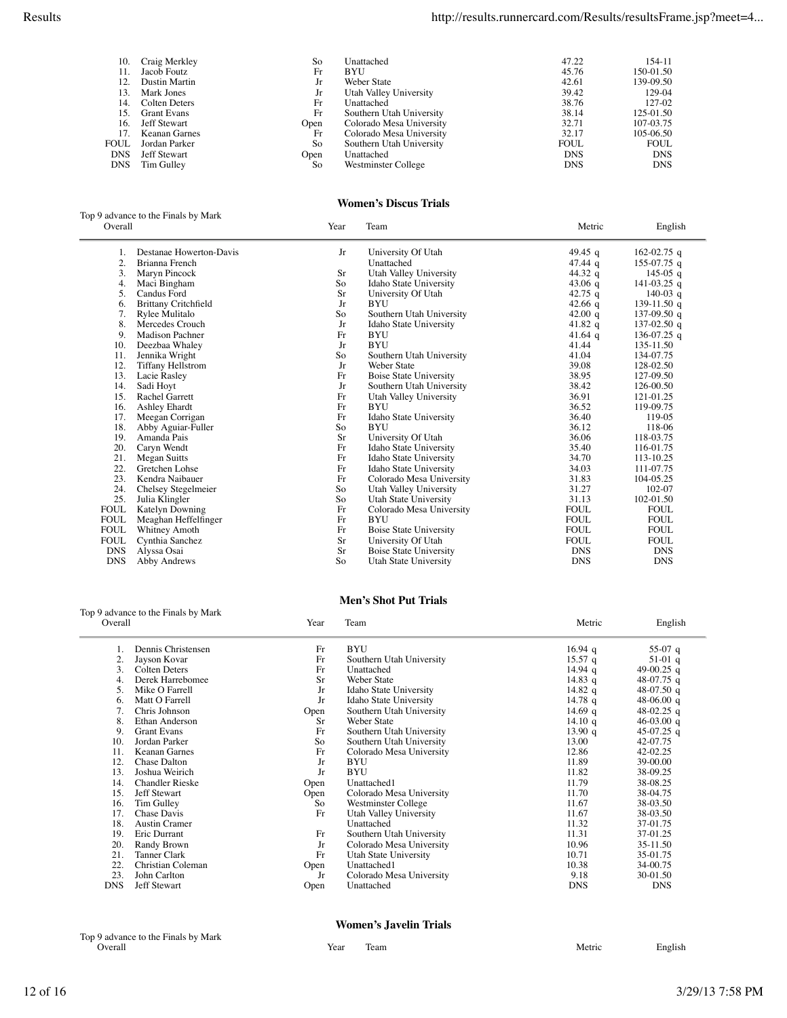| 10.        | Craig Merkley       | So   | Unattached               | 47.22       | 154-11      |
|------------|---------------------|------|--------------------------|-------------|-------------|
| 11.        | Jacob Foutz         | Fr   | <b>BYU</b>               | 45.76       | 150-01.50   |
| 12.        | Dustin Martin       | Jr   | Weber State              | 42.61       | 139-09.50   |
| 13.        | Mark Jones          | Jr   | Utah Valley University   | 39.42       | 129-04      |
| 14.        | Colten Deters       | Fr   | Unattached               | 38.76       | 127-02      |
| 15.        | <b>Grant Evans</b>  | Fr   | Southern Utah University | 38.14       | 125-01.50   |
| 16.        | <b>Jeff Stewart</b> | Open | Colorado Mesa University | 32.71       | 107-03.75   |
| 17.        | Keanan Garnes       | Fr   | Colorado Mesa University | 32.17       | 105-06.50   |
| FOUL       | Jordan Parker       | So.  | Southern Utah University | <b>FOUL</b> | <b>FOUL</b> |
| <b>DNS</b> | Jeff Stewart        | Open | Unattached               | <b>DNS</b>  | <b>DNS</b>  |
| <b>DNS</b> | Tim Gulley          | So   | Westminster College      | <b>DNS</b>  | <b>DNS</b>  |
|            |                     |      |                          |             |             |

### **Women's Discus Trials**

| Top 9 advance to the Finals by Mark |      |     |        |                   |
|-------------------------------------|------|-----|--------|-------------------|
| Overall                             | Year | eam | Metric | $\sim$<br>English |

 $\equiv$ 

 $\overline{a}$ 

| 1.          | Destanae Howerton-Davis     | Jr | University Of Utah            | 49.45 $q$         | 162-02.75 q |
|-------------|-----------------------------|----|-------------------------------|-------------------|-------------|
| 2.          | Brianna French              |    | Unattached                    | $47.44 \text{ q}$ | 155-07.75 q |
| 3.          | Maryn Pincock               | Sr | Utah Valley University        | 44.32 q           | 145-05 q    |
| 4.          | Maci Bingham                | So | Idaho State University        | 43.06 $q$         | 141-03.25 q |
| 5.          | Candus Ford                 | Sr | University Of Utah            | 42.75 q           | 140-03 q    |
| 6.          | <b>Brittany Critchfield</b> | Jr | <b>BYU</b>                    | 42.66 $q$         | 139-11.50 q |
| 7.          | Rylee Mulitalo              | So | Southern Utah University      | 42.00 $q$         | 137-09.50 q |
| 8.          | Mercedes Crouch             | Jr | Idaho State University        | 41.82 q           | 137-02.50 q |
| 9.          | <b>Madison Pachner</b>      | Fr | <b>BYU</b>                    | 41.64 $q$         | 136-07.25 q |
| 10.         | Deezbaa Whaley              | Jr | <b>BYU</b>                    | 41.44             | 135-11.50   |
| 11.         | Jennika Wright              | So | Southern Utah University      | 41.04             | 134-07.75   |
| 12.         | <b>Tiffany Hellstrom</b>    | Jr | <b>Weber State</b>            | 39.08             | 128-02.50   |
| 13.         | Lacie Rasley                | Fr | <b>Boise State University</b> | 38.95             | 127-09.50   |
| 14.         | Sadi Hoyt                   | Jr | Southern Utah University      | 38.42             | 126-00.50   |
| 15.         | Rachel Garrett              | Fr | Utah Valley University        | 36.91             | 121-01.25   |
| 16.         | Ashley Ehardt               | Fr | <b>BYU</b>                    | 36.52             | 119-09.75   |
| 17.         | Meegan Corrigan             | Fr | Idaho State University        | 36.40             | 119-05      |
| 18.         | Abby Aguiar-Fuller          | So | <b>BYU</b>                    | 36.12             | 118-06      |
| 19.         | Amanda Pais                 | Sr | University Of Utah            | 36.06             | 118-03.75   |
| 20.         | Caryn Wendt                 | Fr | Idaho State University        | 35.40             | 116-01.75   |
| 21.         | Megan Suitts                | Fr | Idaho State University        | 34.70             | 113-10.25   |
| 22.         | Gretchen Lohse              | Fr | Idaho State University        | 34.03             | 111-07.75   |
| 23.         | Kendra Naibauer             | Fr | Colorado Mesa University      | 31.83             | 104-05.25   |
| 24.         | Chelsey Stegelmeier         | So | Utah Valley University        | 31.27             | 102-07      |
| 25.         | Julia Klingler              | So | Utah State University         | 31.13             | 102-01.50   |
| <b>FOUL</b> | <b>Katelyn Downing</b>      | Fr | Colorado Mesa University      | <b>FOUL</b>       | <b>FOUL</b> |
| <b>FOUL</b> | Meaghan Heffelfinger        | Fr | <b>BYU</b>                    | <b>FOUL</b>       | <b>FOUL</b> |
| <b>FOUL</b> | Whitney Amoth               | Fr | <b>Boise State University</b> | <b>FOUL</b>       | <b>FOUL</b> |
| <b>FOUL</b> | Cynthia Sanchez             | Sr | University Of Utah            | <b>FOUL</b>       | <b>FOUL</b> |
| <b>DNS</b>  | Alyssa Osai                 | Sr | <b>Boise State University</b> | <b>DNS</b>        | <b>DNS</b>  |
| <b>DNS</b>  | <b>Abby Andrews</b>         | So | Utah State University         | <b>DNS</b>        | <b>DNS</b>  |

### Top 9 advance to the Finals by Mark

### **Men's Shot Put Trials**

| Overall    |                        | Year      | Team                     | Metric            | English      |
|------------|------------------------|-----------|--------------------------|-------------------|--------------|
|            | Dennis Christensen     | Fr        | <b>BYU</b>               | $16.94$ q         | 55-07 q      |
|            | Jayson Kovar           | Fr        | Southern Utah University | $15.57$ q         | 51-01 q      |
| 3.         | Colten Deters          | Fr        | Unattached               | $14.94$ q         | 49-00.25 q   |
| 4.         | Derek Harrebomee       | <b>Sr</b> | Weber State              | 14.83 q           | 48-07.75 q   |
| 5.         | Mike O Farrell         | Jr        | Idaho State University   | 14.82 $q$         | 48-07.50 q   |
| 6.         | Matt O Farrell         | Jr        | Idaho State University   | $14.78$ q         | 48-06.00 $q$ |
|            | Chris Johnson          | Open      | Southern Utah University | 14.69 q           | 48-02.25 q   |
| 8.         | Ethan Anderson         | Sr        | Weber State              | $14.10 \text{ q}$ | 46-03.00 q   |
| 9.         | <b>Grant Evans</b>     | Fr        | Southern Utah University | 13.90 q           | 45-07.25 q   |
| 10.        | Jordan Parker          | So        | Southern Utah University | 13.00             | 42-07.75     |
| 11.        | Keanan Garnes          | Fr        | Colorado Mesa University | 12.86             | 42-02.25     |
| 12.        | Chase Dalton           | Jr        | BYU                      | 11.89             | 39-00.00     |
| 13.        | Joshua Weirich         | Jr        | <b>BYU</b>               | 11.82             | 38-09.25     |
| 14.        | <b>Chandler Rieske</b> | Open      | Unattached1              | 11.79             | 38-08.25     |
| 15.        | Jeff Stewart           | Open      | Colorado Mesa University | 11.70             | 38-04.75     |
| 16.        | Tim Gulley             | So        | Westminster College      | 11.67             | 38-03.50     |
| 17.        | Chase Davis            | Fr        | Utah Valley University   | 11.67             | 38-03.50     |
| 18.        | <b>Austin Cramer</b>   |           | Unattached               | 11.32             | 37-01.75     |
| 19.        | Eric Durrant           | Fr        | Southern Utah University | 11.31             | 37-01.25     |
| 20.        | Randy Brown            | Jr        | Colorado Mesa University | 10.96             | 35-11.50     |
| 21.        | Tanner Clark           | Fr        | Utah State University    | 10.71             | 35-01.75     |
| 22.        | Christian Coleman      | Open      | Unattached1              | 10.38             | 34-00.75     |
| 23.        | John Carlton           | Jr        | Colorado Mesa University | 9.18              | 30-01.50     |
| <b>DNS</b> | Jeff Stewart           | Open      | Unattached               | DNS               | <b>DNS</b>   |

### **Women's Javelin Trials**

|                                     |      | <i>VVOLIICII 8 JAVCIIII 11 IAIS</i> |        |                                          |
|-------------------------------------|------|-------------------------------------|--------|------------------------------------------|
| Top 9 advance to the Finals by Mark |      |                                     |        |                                          |
| ∋veral                              | Year | eam                                 | Metric | $\mathbf{r}$ and $\mathbf{r}$<br>English |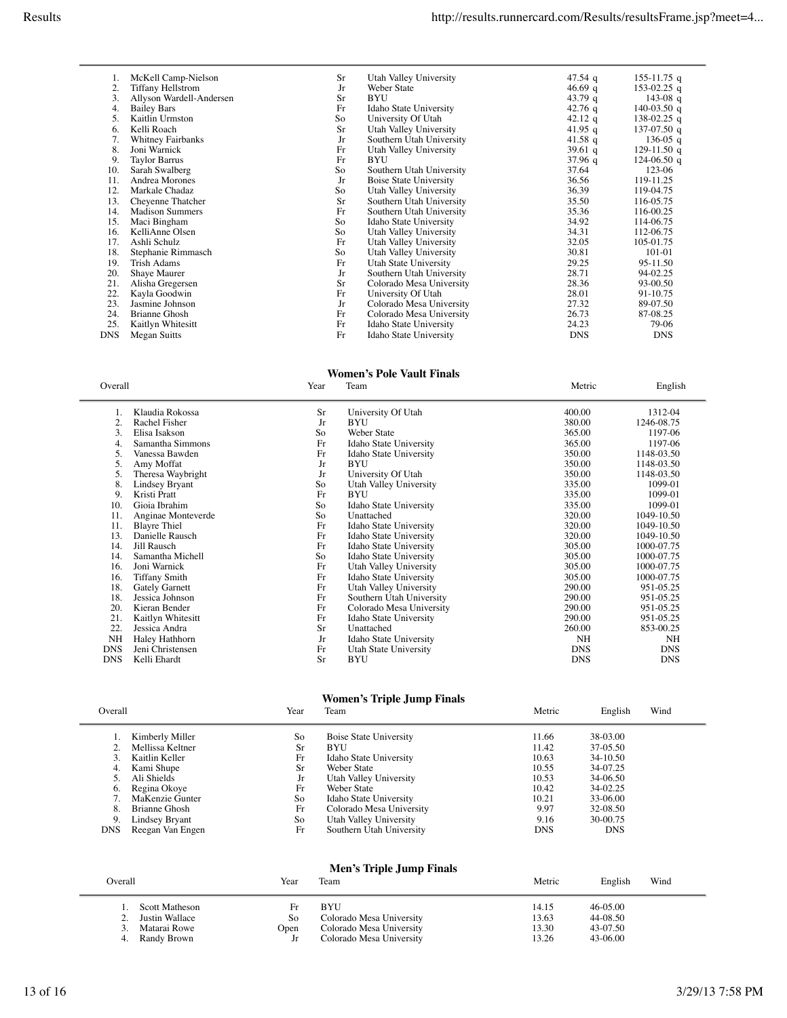|     | McKell Camp-Nielson      | <b>Sr</b> | Utah Valley University   | 47.54 q    | 155-11.75 q   |
|-----|--------------------------|-----------|--------------------------|------------|---------------|
| 2.  | <b>Tiffany Hellstrom</b> | Jr        | Weber State              | 46.69 q    | 153-02.25 q   |
| 3.  | Allyson Wardell-Andersen | Sr        | <b>BYU</b>               | 43.79 q    | 143-08 q      |
| 4.  | <b>Bailey Bars</b>       | Fr        | Idaho State University   | 42.76 q    | 140-03.50 q   |
| 5.  | Kaitlin Urmston          | So        | University Of Utah       | 42.12 q    | 138-02.25 q   |
| 6.  | Kelli Roach              | Sr        | Utah Valley University   | 41.95 q    | 137-07.50 q   |
| 7.  | <b>Whitney Fairbanks</b> | Jr        | Southern Utah University | 41.58 q    | 136-05 $q$    |
| 8.  | Joni Warnick             | Fr        | Utah Valley University   | 39.61 $q$  | 129-11.50 q   |
| 9.  | <b>Taylor Barrus</b>     | Fr        | BYU                      | 37.96 q    | $124-06.50$ q |
| 10. | Sarah Swalberg           | So        | Southern Utah University | 37.64      | 123-06        |
| 11. | Andrea Morones           | Jr        | Boise State University   | 36.56      | 119-11.25     |
| 12. | Markale Chadaz           | So        | Utah Valley University   | 36.39      | 119-04.75     |
| 13. | Cheyenne Thatcher        | Sr        | Southern Utah University | 35.50      | 116-05.75     |
| 14. | <b>Madison Summers</b>   | Fr        | Southern Utah University | 35.36      | 116-00.25     |
| 15. | Maci Bingham             | So        | Idaho State University   | 34.92      | 114-06.75     |
| 16. | KelliAnne Olsen          | So        | Utah Valley University   | 34.31      | 112-06.75     |
| 17. | Ashli Schulz             | Fr        | Utah Valley University   | 32.05      | 105-01.75     |
| 18. | Stephanie Rimmasch       | So        | Utah Valley University   | 30.81      | 101-01        |
| 19. | Trish Adams              | Fr        | Utah State University    | 29.25      | 95-11.50      |
| 20. | Shaye Maurer             | Jr        | Southern Utah University | 28.71      | 94-02.25      |
| 21. | Alisha Gregersen         | Sr        | Colorado Mesa University | 28.36      | 93-00.50      |
| 22. | Kayla Goodwin            | Fr        | University Of Utah       | 28.01      | 91-10.75      |
| 23. | Jasmine Johnson          | Jr        | Colorado Mesa University | 27.32      | 89-07.50      |
| 24. | <b>Brianne Ghosh</b>     | Fr        | Colorado Mesa University | 26.73      | 87-08.25      |
| 25. | Kaitlyn Whitesitt        | Fr        | Idaho State University   | 24.23      | 79-06         |
| DNS | Megan Suitts             | Fr        | Idaho State University   | <b>DNS</b> | <b>DNS</b>    |

## **Women's Pole Vault Finals**

|                       |         |                          |            | English    |
|-----------------------|---------|--------------------------|------------|------------|
| Klaudia Rokossa       | Sr      | University Of Utah       | 400.00     | 1312-04    |
| Rachel Fisher         | Jr      | <b>BYU</b>               | 380.00     | 1246-08.75 |
| Elisa Isakson         | So      | Weber State              | 365.00     | 1197-06    |
| Samantha Simmons      | Fr      | Idaho State University   | 365.00     | 1197-06    |
| Vanessa Bawden        | Fr      | Idaho State University   | 350.00     | 1148-03.50 |
| Amy Moffat            | Jr      | BYU                      | 350.00     | 1148-03.50 |
| Theresa Waybright     | Jr      | University Of Utah       | 350.00     | 1148-03.50 |
| Lindsey Bryant        | So      | Utah Valley University   | 335.00     | 1099-01    |
| Kristi Pratt          | Fr      | <b>BYU</b>               | 335.00     | 1099-01    |
| Gioia Ibrahim         | So      | Idaho State University   | 335.00     | 1099-01    |
| Anginae Monteverde    | So      | Unattached               | 320.00     | 1049-10.50 |
| <b>Blayre Thiel</b>   | Fr      | Idaho State University   | 320.00     | 1049-10.50 |
| Danielle Rausch       | Fr      | Idaho State University   | 320.00     | 1049-10.50 |
| Jill Rausch           | Fr      | Idaho State University   | 305.00     | 1000-07.75 |
| Samantha Michell      | So      | Idaho State University   | 305.00     | 1000-07.75 |
| Joni Warnick          | Fr      | Utah Valley University   | 305.00     | 1000-07.75 |
| <b>Tiffany Smith</b>  | Fr      | Idaho State University   | 305.00     | 1000-07.75 |
| <b>Gately Garnett</b> | Fr      | Utah Valley University   | 290.00     | 951-05.25  |
| Jessica Johnson       | Fr      | Southern Utah University | 290.00     | 951-05.25  |
| Kieran Bender         | Fr      | Colorado Mesa University | 290.00     | 951-05.25  |
| Kaitlyn Whitesitt     | Fr      | Idaho State University   | 290.00     | 951-05.25  |
| Jessica Andra         | Sr      | Unattached               | 260.00     | 853-00.25  |
| Haley Hathhorn        | Jr      | Idaho State University   | NH         | NH         |
| Jeni Christensen      | Fr      | Utah State University    | <b>DNS</b> | <b>DNS</b> |
| Kelli Ehardt          | Sr      | BYU                      | <b>DNS</b> | <b>DNS</b> |
|                       | Overall | Year                     | Team       | Metric     |

# **Women's Triple Jump Finals**

| Overall          |                                                       | Year           | Team                                                                  | Metric                  | English                          | Wind |
|------------------|-------------------------------------------------------|----------------|-----------------------------------------------------------------------|-------------------------|----------------------------------|------|
|                  | Kimberly Miller<br>Mellissa Keltner<br>Kaitlin Keller | So<br>Sr<br>Fr | <b>Boise State University</b><br><b>BYU</b><br>Idaho State University | 11.66<br>11.42<br>10.63 | 38-03.00<br>37-05.50<br>34-10.50 |      |
| 4.               | Kami Shupe<br>Ali Shields                             | Sr<br>Jr       | Weber State<br>Utah Valley University                                 | 10.55<br>10.53          | 34-07.25<br>34-06.50             |      |
| 6.<br>8.         | Regina Okoye<br>MaKenzie Gunter<br>Brianne Ghosh      | Fr<br>So<br>Fr | Weber State<br>Idaho State University<br>Colorado Mesa University     | 10.42<br>10.21<br>9.97  | 34-02.25<br>33-06.00<br>32-08.50 |      |
| 9.<br><b>DNS</b> | Lindsey Bryant<br>Reegan Van Engen                    | So<br>Fr       | Utah Valley University<br>Southern Utah University                    | 9.16<br><b>DNS</b>      | 30-00.75<br><b>DNS</b>           |      |
|                  |                                                       |                |                                                                       |                         |                                  |      |

## **Men's Triple Jump Finals**

| Overall |                                                                        | Year                   | Team                                                                                           | Metric                           | English<br>Wind                                |  |
|---------|------------------------------------------------------------------------|------------------------|------------------------------------------------------------------------------------------------|----------------------------------|------------------------------------------------|--|
| 4.      | <b>Scott Matheson</b><br>Justin Wallace<br>Matarai Rowe<br>Randy Brown | F۳<br>So<br>Open<br>Jr | <b>BYU</b><br>Colorado Mesa University<br>Colorado Mesa University<br>Colorado Mesa University | 14.15<br>13.63<br>13.30<br>13.26 | $46-05.00$<br>44-08.50<br>43-07.50<br>43-06.00 |  |

 $\overline{\phantom{a}}$ 

 $\frac{1}{2}$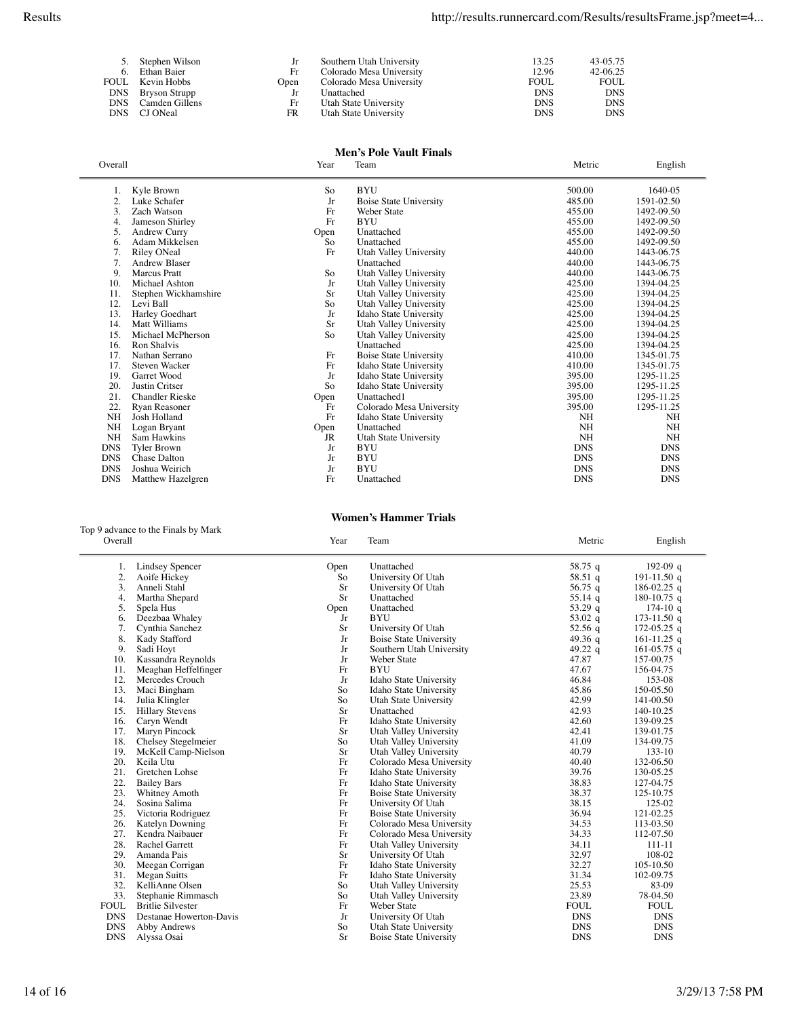| 5. Stephen Wilson  | Jr   | Southern Utah University | 13.25       | 43-05.75   |
|--------------------|------|--------------------------|-------------|------------|
| 6. Ethan Baier     | Fr   | Colorado Mesa University | 12.96       | 42-06.25   |
| FOUL Kevin Hobbs   | Open | Colorado Mesa University | <b>FOUL</b> | FOUL       |
| DNS Bryson Strupp  |      | Unattached               | <b>DNS</b>  | <b>DNS</b> |
| DNS Camden Gillens | Fr   | Utah State University    | <b>DNS</b>  | <b>DNS</b> |
| DNS CJ ONeal       | FR.  | Utah State University    | <b>DNS</b>  | <b>DNS</b> |

### **Men's Pole Vault Finals**

| Overall        |                        | Year      | Team                          | Metric     | English    |
|----------------|------------------------|-----------|-------------------------------|------------|------------|
| 1.             | Kyle Brown             | So        | <b>BYU</b>                    | 500.00     | 1640-05    |
| $\overline{2}$ | Luke Schafer           | Jr        | Boise State University        | 485.00     | 1591-02.50 |
| 3.             | Zach Watson            | Fr        | Weber State                   | 455.00     | 1492-09.50 |
| 4.             | Jameson Shirley        | Fr        | <b>BYU</b>                    | 455.00     | 1492-09.50 |
| 5.             | Andrew Curry           | Open      | Unattached                    | 455.00     | 1492-09.50 |
| 6.             | Adam Mikkelsen         | So        | Unattached                    | 455.00     | 1492-09.50 |
| 7.             | <b>Riley ONeal</b>     | Fr        | Utah Valley University        | 440.00     | 1443-06.75 |
| 7.             | <b>Andrew Blaser</b>   |           | Unattached                    | 440.00     | 1443-06.75 |
| 9.             | <b>Marcus</b> Pratt    | So        | Utah Valley University        | 440.00     | 1443-06.75 |
| 10.            | Michael Ashton         | Jr        | Utah Valley University        | 425.00     | 1394-04.25 |
| 11.            | Stephen Wickhamshire   | Sr        | Utah Valley University        | 425.00     | 1394-04.25 |
| 12.            | Levi Ball              | So        | Utah Valley University        | 425.00     | 1394-04.25 |
| 13.            | Harley Goedhart        | Jr        | Idaho State University        | 425.00     | 1394-04.25 |
| 14.            | Matt Williams          | Sr        | Utah Valley University        | 425.00     | 1394-04.25 |
| 15.            | Michael McPherson      | So        | Utah Valley University        | 425.00     | 1394-04.25 |
| 16.            | Ron Shalvis            |           | Unattached                    | 425.00     | 1394-04.25 |
| 17.            | Nathan Serrano         | Fr        | <b>Boise State University</b> | 410.00     | 1345-01.75 |
| 17.            | <b>Steven Wacker</b>   | Fr        | Idaho State University        | 410.00     | 1345-01.75 |
| 19.            | Garret Wood            | Jr        | Idaho State University        | 395.00     | 1295-11.25 |
| 20.            | <b>Justin Critser</b>  | So        | Idaho State University        | 395.00     | 1295-11.25 |
| 21.            | <b>Chandler Rieske</b> | Open      | Unattached1                   | 395.00     | 1295-11.25 |
| 22.            | Ryan Reasoner          | Fr        | Colorado Mesa University      | 395.00     | 1295-11.25 |
| <b>NH</b>      | Josh Holland           | Fr        | Idaho State University        | <b>NH</b>  | NH         |
| <b>NH</b>      | Logan Bryant           | Open      | Unattached                    | NH         | <b>NH</b>  |
| NH             | Sam Hawkins            | <b>JR</b> | Utah State University         | NH         | <b>NH</b>  |
| <b>DNS</b>     | <b>Tyler Brown</b>     | Jr        | <b>BYU</b>                    | <b>DNS</b> | <b>DNS</b> |
| <b>DNS</b>     | <b>Chase Dalton</b>    | Jr        | <b>BYU</b>                    | <b>DNS</b> | <b>DNS</b> |
| <b>DNS</b>     | Joshua Weirich         | Jr        | <b>BYU</b>                    | <b>DNS</b> | <b>DNS</b> |
| <b>DNS</b>     | Matthew Hazelgren      | Fr        | Unattached                    | <b>DNS</b> | <b>DNS</b> |
|                |                        |           |                               |            |            |

**Women's Hammer Trials**

### Top 9 advance to the Finals by Mark

| Overall     |                          | Year      | Team                          | Metric      | English       |
|-------------|--------------------------|-----------|-------------------------------|-------------|---------------|
| 1.          | <b>Lindsey Spencer</b>   | Open      | Unattached                    | 58.75 g     | 192-09 $q$    |
| 2.          | Aoife Hickey             | So        | University Of Utah            | 58.51 q     | 191-11.50 $q$ |
| 3.          | Anneli Stahl             | Sr        | University Of Utah            | 56.75 $q$   | 186-02.25 q   |
| 4.          | Martha Shepard           | Sr        | Unattached                    | 55.14 $q$   | 180-10.75 q   |
| 5.          | Spela Hus                | Open      | Unattached                    | 53.29 $q$   | $174-10q$     |
| 6.          | Deezbaa Whaley           | Jr        | <b>BYU</b>                    | 53.02 $q$   | 173-11.50 q   |
| 7.          | Cynthia Sanchez          | Sr        | University Of Utah            | 52.56q      | 172-05.25 $q$ |
| 8.          | Kady Stafford            | Jr        | <b>Boise State University</b> | 49.36 q     | 161-11.25 q   |
| 9.          | Sadi Hoyt                | Jr        | Southern Utah University      | 49.22 $q$   | 161-05.75 q   |
| 10.         | Kassandra Reynolds       | Jr        | Weber State                   | 47.87       | 157-00.75     |
| 11.         | Meaghan Heffelfinger     | Fr        | <b>BYU</b>                    | 47.67       | 156-04.75     |
| 12.         | Mercedes Crouch          | Jr        | Idaho State University        | 46.84       | 153-08        |
| 13.         | Maci Bingham             | So        | Idaho State University        | 45.86       | 150-05.50     |
| 14.         | Julia Klingler           | So        | Utah State University         | 42.99       | 141-00.50     |
| 15.         | <b>Hillary Stevens</b>   | <b>Sr</b> | Unattached                    | 42.93       | 140-10.25     |
| 16.         | Caryn Wendt              | Fr        | Idaho State University        | 42.60       | 139-09.25     |
| 17.         | Maryn Pincock            | <b>Sr</b> | Utah Valley University        | 42.41       | 139-01.75     |
| 18.         | Chelsey Stegelmeier      | So        | Utah Valley University        | 41.09       | 134-09.75     |
| 19.         | McKell Camp-Nielson      | <b>Sr</b> | Utah Valley University        | 40.79       | 133-10        |
| 20.         | Keila Utu                | Fr        | Colorado Mesa University      | 40.40       | 132-06.50     |
| 21.         | Gretchen Lohse           | Fr        | Idaho State University        | 39.76       | 130-05.25     |
| 22.         | <b>Bailey Bars</b>       | Fr        | Idaho State University        | 38.83       | 127-04.75     |
| 23.         | Whitney Amoth            | Fr        | <b>Boise State University</b> | 38.37       | 125-10.75     |
| 24.         | Sosina Salima            | Fr        | University Of Utah            | 38.15       | 125-02        |
| 25.         | Victoria Rodriguez       | Fr        | <b>Boise State University</b> | 36.94       | 121-02.25     |
| 26.         | Katelyn Downing          | Fr        | Colorado Mesa University      | 34.53       | 113-03.50     |
| 27.         | Kendra Naibauer          | Fr        | Colorado Mesa University      | 34.33       | 112-07.50     |
| 28.         | <b>Rachel Garrett</b>    | Fr        | Utah Valley University        | 34.11       | 111-11        |
| 29.         | Amanda Pais              | Sr        | University Of Utah            | 32.97       | 108-02        |
| 30.         | Meegan Corrigan          | Fr        | Idaho State University        | 32.27       | 105-10.50     |
| 31.         | Megan Suitts             | Fr        | Idaho State University        | 31.34       | 102-09.75     |
| 32.         | KelliAnne Olsen          | So        | Utah Valley University        | 25.53       | 83-09         |
| 33.         | Stephanie Rimmasch       | So        | Utah Valley University        | 23.89       | 78-04.50      |
| <b>FOUL</b> | <b>Britlie Silvester</b> | Fr        | Weber State                   | <b>FOUL</b> | <b>FOUL</b>   |
| <b>DNS</b>  | Destanae Howerton-Davis  | Jr        | University Of Utah            | <b>DNS</b>  | <b>DNS</b>    |
| <b>DNS</b>  | Abby Andrews             | So        | Utah State University         | <b>DNS</b>  | <b>DNS</b>    |
| <b>DNS</b>  | Alyssa Osai              | <b>Sr</b> | <b>Boise State University</b> | <b>DNS</b>  | <b>DNS</b>    |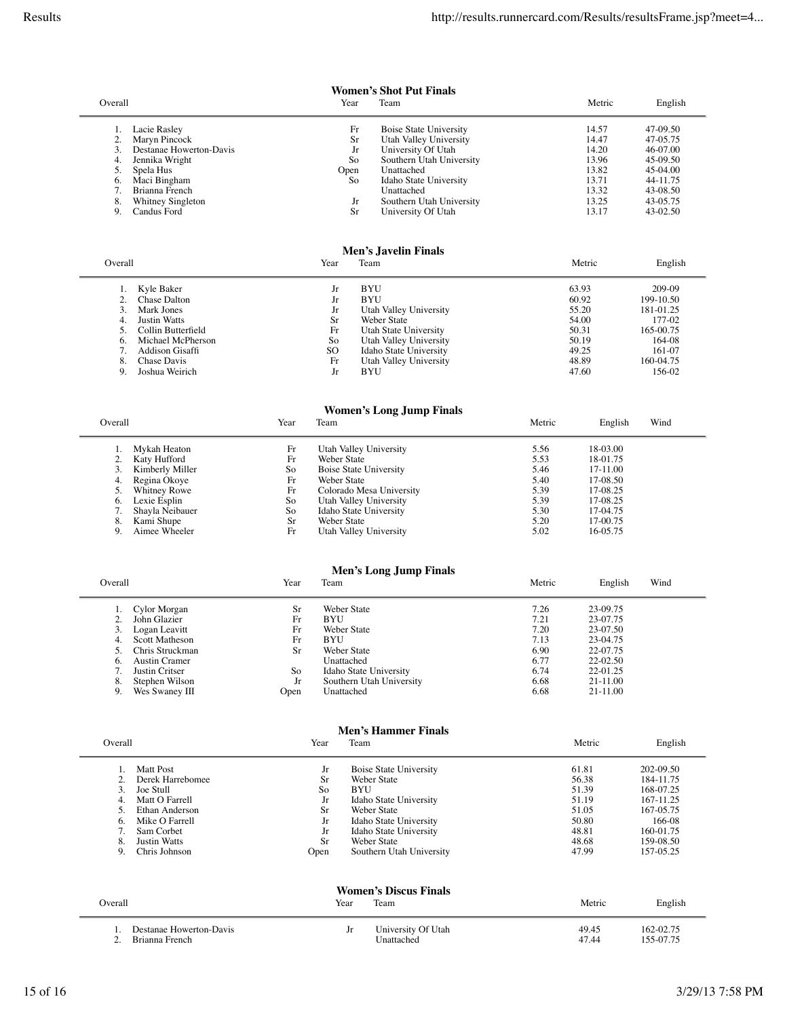$\overline{\phantom{a}}$ 

**Women's Shot Put Finals**

| Overall                                                                                                                                                    | Year                                     | Team                                                                                                                                                                                        | Metric                                                               | English                                                                                      |
|------------------------------------------------------------------------------------------------------------------------------------------------------------|------------------------------------------|---------------------------------------------------------------------------------------------------------------------------------------------------------------------------------------------|----------------------------------------------------------------------|----------------------------------------------------------------------------------------------|
| Lacie Rasley<br>Maryn Pincock<br>Destanae Howerton-Davis<br>Jennika Wright<br>Spela Hus<br>Maci Bingham<br>6.<br>Brianna French<br>8.<br>Whitney Singleton | Fr<br>Sr<br>Jr<br>So<br>Open<br>So<br>Jr | <b>Boise State University</b><br>Utah Valley University<br>University Of Utah<br>Southern Utah University<br>Unattached<br>Idaho State University<br>Unattached<br>Southern Utah University | 14.57<br>14.47<br>14.20<br>13.96<br>13.82<br>13.71<br>13.32<br>13.25 | 47-09.50<br>47-05.75<br>46-07.00<br>45-09.50<br>45-04.00<br>44-11.75<br>43-08.50<br>43-05.75 |
| Candus Ford<br>9.                                                                                                                                          | Sr                                       | University Of Utah                                                                                                                                                                          | 13.17                                                                | 43-02.50                                                                                     |

### **Men's Javelin Finals**

| Overall |                    | Year | Team                   | Metric | English   |
|---------|--------------------|------|------------------------|--------|-----------|
| 4.      | 1. Kyle Baker      | Jr   | <b>BYU</b>             | 63.93  | 209-09    |
|         | Chase Dalton       | Jr   | <b>BYU</b>             | 60.92  | 199-10.50 |
|         | Mark Jones         | Jr   | Utah Valley University | 55.20  | 181-01.25 |
|         | Justin Watts       | Sr.  | Weber State            | 54.00  | 177-02    |
|         | Collin Butterfield | Fr   | Utah State University  | 50.31  | 165-00.75 |
|         | Michael McPherson  | So   | Utah Valley University | 50.19  | 164-08    |
|         | Addison Gisaffi    | SO.  | Idaho State University | 49.25  | 161-07    |
|         | Chase Davis        | Fr   | Utah Valley University | 48.89  | 160-04.75 |
|         | Joshua Weirich     | Jr   | BYU                    | 47.60  | 156-02    |

### **Women's Long Jump Finals**

| Overall |                 | Year | Team                     | Metric | English  | Wind |
|---------|-----------------|------|--------------------------|--------|----------|------|
|         | Mykah Heaton    | Fr   | Utah Valley University   | 5.56   | 18-03.00 |      |
|         | Katy Hufford    | Fr   | Weber State              | 5.53   | 18-01.75 |      |
|         | Kimberly Miller | So   | Boise State University   | 5.46   | 17-11.00 |      |
|         | Regina Okoye    | Fr   | Weber State              | 5.40   | 17-08.50 |      |
|         | Whitney Rowe    | Fr   | Colorado Mesa University | 5.39   | 17-08.25 |      |
| 6.      | Lexie Esplin    | So   | Utah Valley University   | 5.39   | 17-08.25 |      |
|         | Shayla Neibauer | So   | Idaho State University   | 5.30   | 17-04.75 |      |
| 8.      | Kami Shupe      | Sr   | Weber State              | 5.20   | 17-00.75 |      |
| 9.      | Aimee Wheeler   | Fr   | Utah Valley University   | 5.02   | 16-05.75 |      |

| Men's Long Jump Finals |  |  |
|------------------------|--|--|
|------------------------|--|--|

| Overall |                 | Year | Team                     | Metric | English  | Wind |
|---------|-----------------|------|--------------------------|--------|----------|------|
|         | Cylor Morgan    | Sr   | Weber State              | 7.26   | 23-09.75 |      |
|         | John Glazier    | Fr   | BYU                      | 7.21   | 23-07.75 |      |
|         | Logan Leavitt   | Fr   | Weber State              | 7.20   | 23-07.50 |      |
| 4.      | Scott Matheson  | Fr   | <b>BYU</b>               | 7.13   | 23-04.75 |      |
|         | Chris Struckman | Sr.  | Weber State              | 6.90   | 22-07.75 |      |
| 6.      | Austin Cramer   |      | Unattached               | 6.77   | 22-02.50 |      |
|         | Justin Critser  | So   | Idaho State University   | 6.74   | 22-01.25 |      |
| 8.      | Stephen Wilson  | Jr   | Southern Utah University | 6.68   | 21-11.00 |      |
| 9.      | Wes Swaney III  | Open | Unattached               | 6.68   | 21-11.00 |      |

# **Men's Hammer Finals**

| Overall |                         | Year | Team                         | Metric | English   |
|---------|-------------------------|------|------------------------------|--------|-----------|
|         | Matt Post               | Jr   | Boise State University       | 61.81  | 202-09.50 |
| 2       | Derek Harrebomee        | Sr   | Weber State                  | 56.38  | 184-11.75 |
| 3.      | Joe Stull               | So   | <b>BYU</b>                   | 51.39  | 168-07.25 |
| 4.      | Matt O Farrell          | Jr   | Idaho State University       | 51.19  | 167-11.25 |
| .5      | Ethan Anderson          | Sr   | Weber State                  | 51.05  | 167-05.75 |
| 6.      | Mike O Farrell          | Jr   | Idaho State University       | 50.80  | 166-08    |
|         | Sam Corbet              | Jr   | Idaho State University       | 48.81  | 160-01.75 |
| 8.      | Justin Watts            | Sr   | Weber State                  | 48.68  | 159-08.50 |
| 9.      | Chris Johnson           | Open | Southern Utah University     | 47.99  | 157-05.25 |
|         |                         |      | <b>Women's Discus Finals</b> |        |           |
| Overall |                         |      | Team<br>Year                 | Metric | English   |
|         | Destanae Howerton-Davis |      | Jr<br>University Of Utah     | 49.45  | 162-02.75 |

2. Brianna French Davis and the change of the change of the change of the change of the change of the 125 07.75